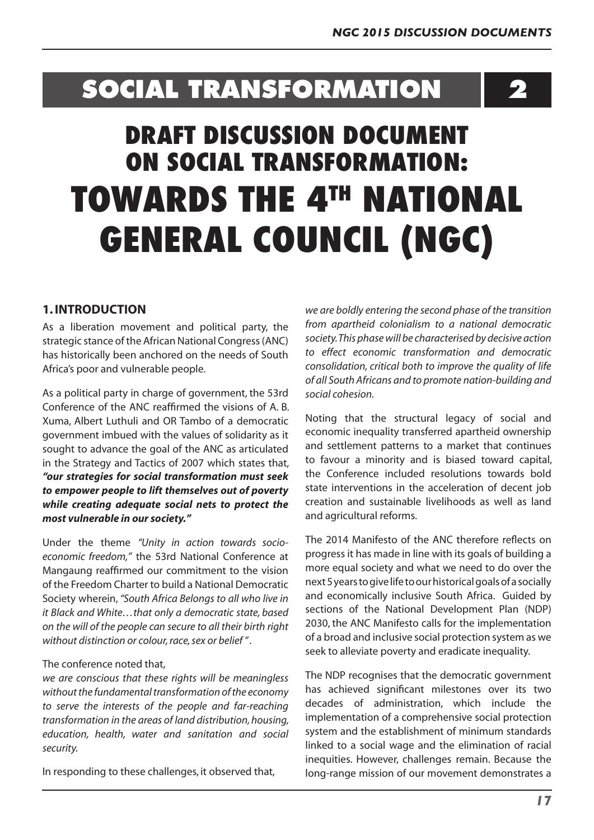# **SOCIAL TRANSFORMATION**

**2**

# **DRAFT DISCUSSION DOCUMENT ON SOCIAL TRANSFORMATION: TOWARDS THE 4TH NATIONAL GENERAL COUNCIL (NGC)**

# **1. INTRODUCTION**

As a liberation movement and political party, the strategic stance of the African National Congress(ANC) has historically been anchored on the needs of South Africa's poor and vulnerable people.

As a political party in charge of government, the 53rd Conference of the ANC reaffirmed the visions of A. B. Xuma, Albert Luthuli and OR Tambo of a democratic government imbued with the values of solidarity as it sought to advance the goal of the ANC as articulated in the Strategy and Tactics of 2007 which states that, *"our strategies for social transformation must seek to empower people to lift themselves out of poverty while creating adequate social nets to protect the most vulnerable in our society."*

Under the theme *"Unity in action towards socioeconomic freedom,"* the 53rd National Conference at Mangaung reaffirmed our commitment to the vision of the Freedom Charter to build a National Democratic Society wherein, *"South Africa Belongs to all who live in it Black and White…that only a democratic state, based on the will of the people can secure to all their birth right without distinction or colour, race, sex or belief " .*

## The conference noted that,

*we are conscious that these rights will be meaningless without the fundamental transformation of the economy to serve the interests of the people and far-reaching transformation in the areas of land distribution, housing, education, health, water and sanitation and social security.*

In responding to these challenges, it observed that,

*we are boldly entering the second phase of the transition from apartheid colonialism to a national democratic society. This phase will be characterised by decisive action to effect economic transformation and democratic consolidation, critical both to improve the quality of life of all South Africans and to promote nation-building and social cohesion.*

Noting that the structural legacy of social and economic inequality transferred apartheid ownership and settlement patterns to a market that continues to favour a minority and is biased toward capital, the Conference included resolutions towards bold state interventions in the acceleration of decent job creation and sustainable livelihoods as well as land and agricultural reforms.

The 2014 Manifesto of the ANC therefore reflects on progress it has made in line with its goals of building a more equal society and what we need to do over the next5yearstogivelifetoourhistoricalgoalsofasocially and economically inclusive South Africa. Guided by sections of the National Development Plan (NDP) 2030, the ANC Manifesto calls for the implementation of a broad and inclusive social protection system as we seek to alleviate poverty and eradicate inequality.

The NDP recognises that the democratic government has achieved significant milestones over its two decades of administration, which include the implementation of a comprehensive social protection system and the establishment of minimum standards linked to a social wage and the elimination of racial inequities. However, challenges remain. Because the long-range mission of our movement demonstrates a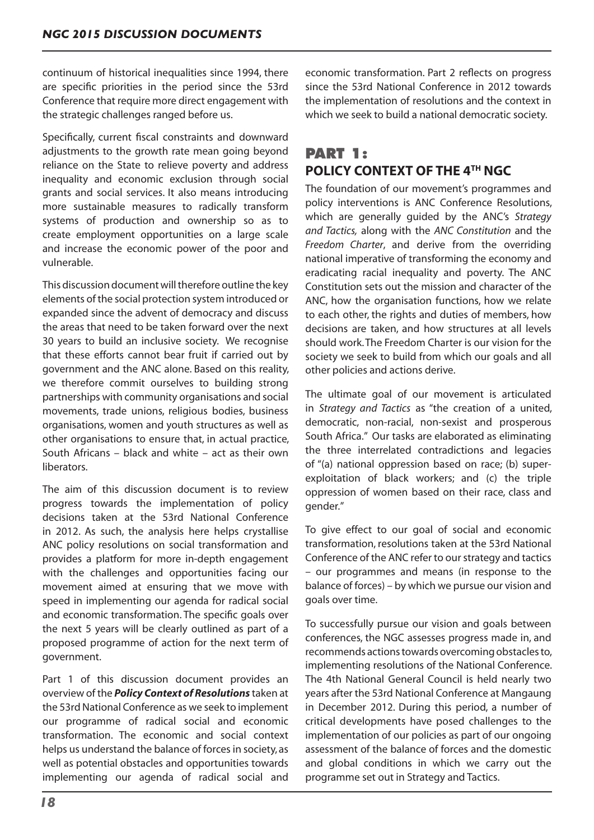continuum of historical inequalities since 1994, there are specific priorities in the period since the 53rd Conference that require more direct engagement with the strategic challenges ranged before us.

Specifically, current fiscal constraints and downward adjustments to the growth rate mean going beyond reliance on the State to relieve poverty and address inequality and economic exclusion through social grants and social services. It also means introducing more sustainable measures to radically transform systems of production and ownership so as to create employment opportunities on a large scale and increase the economic power of the poor and vulnerable.

This discussion document will therefore outline the key elements of the social protection system introduced or expanded since the advent of democracy and discuss the areas that need to be taken forward over the next 30 years to build an inclusive society. We recognise that these efforts cannot bear fruit if carried out by government and the ANC alone. Based on this reality, we therefore commit ourselves to building strong partnerships with community organisations and social movements, trade unions, religious bodies, business organisations, women and youth structures as well as other organisations to ensure that, in actual practice, South Africans – black and white – act as their own liberators.

The aim of this discussion document is to review progress towards the implementation of policy decisions taken at the 53rd National Conference in 2012. As such, the analysis here helps crystallise ANC policy resolutions on social transformation and provides a platform for more in-depth engagement with the challenges and opportunities facing our movement aimed at ensuring that we move with speed in implementing our agenda for radical social and economic transformation. The specific goals over the next 5 years will be clearly outlined as part of a proposed programme of action for the next term of government.

Part 1 of this discussion document provides an overview of the *Policy Context of Resolutions* taken at the 53rd National Conference as we seek to implement our programme of radical social and economic transformation. The economic and social context helps us understand the balance of forces in society, as well as potential obstacles and opportunities towards implementing our agenda of radical social and economic transformation. Part 2 reflects on progress since the 53rd National Conference in 2012 towards the implementation of resolutions and the context in which we seek to build a national democratic society.

# **PART 1: POLICY CONTEXT OF THE 4TH NGC**

The foundation of our movement's programmes and policy interventions is ANC Conference Resolutions, which are generally guided by the ANC's *Strategy and Tactics,* along with the *ANC Constitution* and the *Freedom Charter*, and derive from the overriding national imperative of transforming the economy and eradicating racial inequality and poverty. The ANC Constitution sets out the mission and character of the ANC, how the organisation functions, how we relate to each other, the rights and duties of members, how decisions are taken, and how structures at all levels should work.The Freedom Charter is our vision for the society we seek to build from which our goals and all other policies and actions derive.

The ultimate goal of our movement is articulated in *Strategy and Tactics* as "the creation of a united, democratic, non-racial, non-sexist and prosperous South Africa." Our tasks are elaborated as eliminating the three interrelated contradictions and legacies of "(a) national oppression based on race; (b) superexploitation of black workers; and (c) the triple oppression of women based on their race, class and gender."

To give effect to our goal of social and economic transformation, resolutions taken at the 53rd National Conference of the ANC refer to our strategy and tactics – our programmes and means (in response to the balance of forces) – by which we pursue our vision and goals over time.

To successfully pursue our vision and goals between conferences, the NGC assesses progress made in, and recommends actions towards overcoming obstacles to, implementing resolutions of the National Conference. The 4th National General Council is held nearly two years after the 53rd National Conference at Mangaung in December 2012. During this period, a number of critical developments have posed challenges to the implementation of our policies as part of our ongoing assessment of the balance of forces and the domestic and global conditions in which we carry out the programme set out in Strategy and Tactics.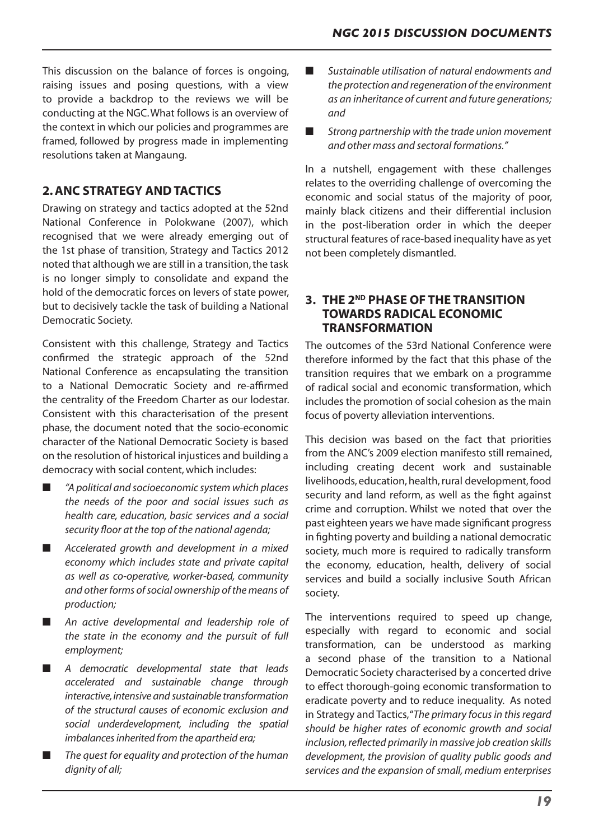This discussion on the balance of forces is ongoing, raising issues and posing questions, with a view to provide a backdrop to the reviews we will be conducting at the NGC.What follows is an overview of the context in which our policies and programmes are framed, followed by progress made in implementing resolutions taken at Mangaung.

# **2. ANC STRATEGY AND TACTICS**

Drawing on strategy and tactics adopted at the 52nd National Conference in Polokwane (2007), which recognised that we were already emerging out of the 1st phase of transition, Strategy and Tactics 2012 noted that although we are still in a transition, the task is no longer simply to consolidate and expand the hold of the democratic forces on levers of state power, but to decisively tackle the task of building a National Democratic Society.

Consistent with this challenge, Strategy and Tactics confirmed the strategic approach of the 52nd National Conference as encapsulating the transition to a National Democratic Society and re-affirmed the centrality of the Freedom Charter as our lodestar. Consistent with this characterisation of the present phase, the document noted that the socio-economic character of the National Democratic Society is based on the resolution of historical injustices and building a democracy with social content,which includes:

- *"A political and socioeconomic system which places the needs of the poor and social issues such as health care, education, basic services and a social security floor at the top of the national agenda;*
- Accelerated growth and development in a mixed *economy which includes state and private capital as well as co-operative, worker-based, community and other forms of social ownership of the means of production;*
- An active developmental and leadership role of *the state in the economy and the pursuit of full employment;*
- *A democratic developmental state that leads accelerated and sustainable change through interactive, intensive and sustainable transformation of the structural causes of economic exclusion and social underdevelopment, including the spatial imbalances inherited from the apartheid era;*
- The quest for equality and protection of the human *dignity of all;*
- Sustainable utilisation of natural endowments and *the protection and regeneration of the environment as an inheritance of current and future generations; and*
- Strong partnership with the trade union movement *and other mass and sectoral formations."*

In a nutshell, engagement with these challenges relates to the overriding challenge of overcoming the economic and social status of the majority of poor, mainly black citizens and their differential inclusion in the post-liberation order in which the deeper structural features of race-based inequality have as yet not been completely dismantled.

# **3. THE 2ND PHASE OF THE TRANSITION TOWARDS RADICAL ECONOMIC TRANSFORMATION**

The outcomes of the 53rd National Conference were therefore informed by the fact that this phase of the transition requires that we embark on a programme of radical social and economic transformation, which includes the promotion of social cohesion as the main focus of poverty alleviation interventions.

This decision was based on the fact that priorities from the ANC's 2009 election manifesto still remained, including creating decent work and sustainable livelihoods, education, health, rural development, food security and land reform, as well as the fight against crime and corruption. Whilst we noted that over the past eighteen years we have made significant progress in fighting poverty and building a national democratic society, much more is required to radically transform the economy, education, health, delivery of social services and build a socially inclusive South African society.

The interventions required to speed up change, especially with regard to economic and social transformation, can be understood as marking a second phase of the transition to a National Democratic Society characterised by a concerted drive to effect thorough-going economic transformation to eradicate poverty and to reduce inequality. As noted in Strategy and Tactics,"*The primary focus in this regard should be higher rates of economic growth and social inclusion, reflected primarily in massive job creation skills development, the provision of quality public goods and services and the expansion of small, medium enterprises*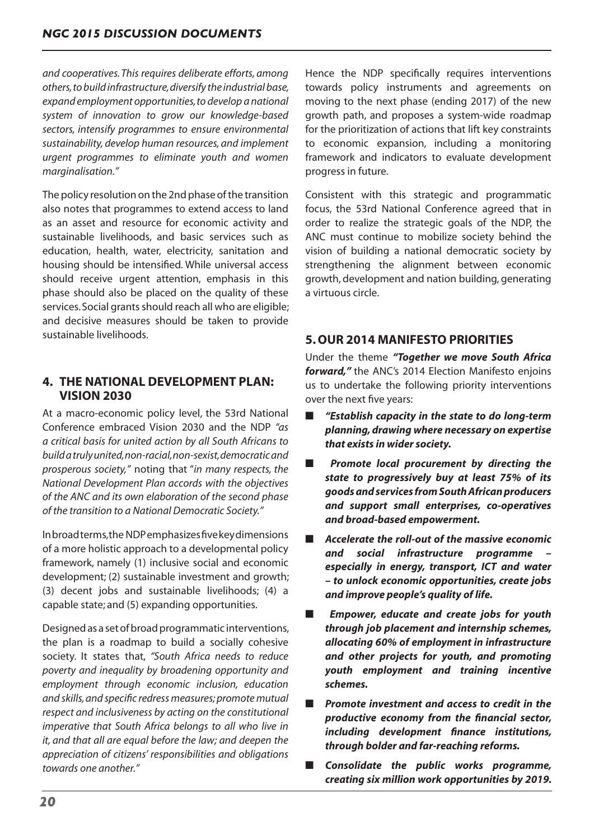*and cooperatives. This requires deliberate efforts, among others, to build infrastructure, diversify the industrial base, expand employment opportunities, to develop a national system of innovation to grow our knowledge-based sectors, intensify programmes to ensure environmental sustainability, develop human resources, and implement urgent programmes to eliminate youth and women marginalisation."*

The policy resolution on the 2nd phase of the transition also notes that programmes to extend access to land as an asset and resource for economic activity and sustainable livelihoods, and basic services such as education, health, water, electricity, sanitation and housing should be intensified. While universal access should receive urgent attention, emphasis in this phase should also be placed on the quality of these services. Social grants should reach all who are eligible; and decisive measures should be taken to provide sustainable livelihoods.

# **4. THE NATIONAL DEVELOPMENT PLAN: VISION 2030**

At a macro-economic policy level, the 53rd National Conference embraced Vision 2030 and the NDP *"as a critical basis for united action by all South Africans to build a truly united, non-racial, non-sexist, democratic and prosperous society,"* noting that "*in many respects, the National Development Plan accords with the objectives of the ANC and its own elaboration of the second phase of the transition to a National Democratic Society."*

Inbroadterms,the NDPemphasizesfivekeydimensions of a more holistic approach to a developmental policy framework, namely (1) inclusive social and economic development; (2) sustainable investment and growth; (3) decent jobs and sustainable livelihoods; (4) a capable state; and (5) expanding opportunities.

Designed as a set of broad programmatic interventions, the plan is a roadmap to build a socially cohesive society. It states that, *"South Africa needs to reduce poverty and inequality by broadening opportunity and employment through economic inclusion, education and skills, and specific redress measures; promote mutual respect and inclusiveness by acting on the constitutional imperative that South Africa belongs to all who live in it, and that all are equal before the law; and deepen the appreciation of citizens' responsibilities and obligations towards one another."*

Hence the NDP specifically requires interventions towards policy instruments and agreements on moving to the next phase (ending 2017) of the new growth path, and proposes a system-wide roadmap for the prioritization of actions that lift key constraints to economic expansion, including a monitoring framework and indicators to evaluate development progress in future.

Consistent with this strategic and programmatic focus, the 53rd National Conference agreed that in order to realize the strategic goals of the NDP, the ANC must continue to mobilize society behind the vision of building a national democratic society by strengthening the alignment between economic growth, development and nation building, generating a virtuous circle.

# **5. OUR 2014 MANIFESTO PRIORITIES**

Under the theme *"Together we move South Africa forward,"* the ANC's 2014 Election Manifesto enjoins us to undertake the following priority interventions over the next five years:

- *"Establish capacity in the state to do long-term planning, drawing where necessary on expertise that exists in wider society.*
- Promote local procurement by directing the *state to progressively buy at least 75% of its goods and services from South African producers and support small enterprises, co-operatives and broad-based empowerment.*
- *Accelerate the roll-out of the massive economic and social infrastructure programme – especially in energy, transport, ICT and water – to unlock economic opportunities, create jobs and improve people's quality of life.*
- ■ *Empower, educate and create jobs for youth through job placement and internship schemes, allocating 60% of employment in infrastructure and other projects for youth, and promoting youth employment and training incentive schemes.*
- **Promote investment and access to credit in the** *productive economy from the financial sector, including development finance institutions, through bolder and far-reaching reforms.*
- *Consolidate the public works programme, creating six million work opportunities by 2019.*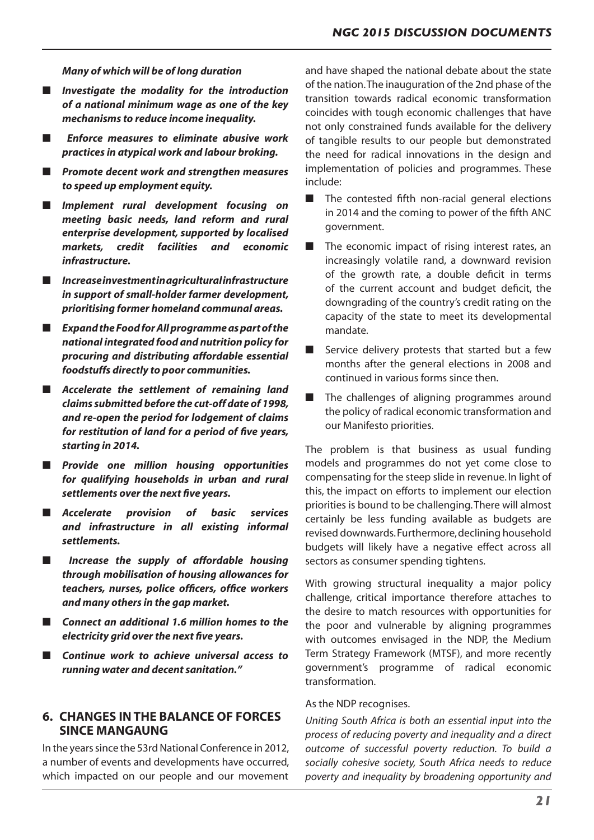*Many of which will be of long duration*

- *Investigate the modality for the introduction of a national minimum wage as one of the key mechanisms to reduce income inequality.*
- ■ *Enforce measures to eliminate abusive work practices in atypical work and labour broking.*
- *Promote decent work and strengthen measures to speed up employment equity.*
- *Implement rural development focusing on meeting basic needs, land reform and rural enterprise development, supported by localised markets, credit facilities and economic infrastructure.*
- *Increase investment in agricultural infrastructure in support of small-holder farmer development, prioritising former homeland communal areas.*
- *Expand the Food for All programme as part of the national integrated food and nutrition policy for procuring and distributing affordable essential foodstuffs directly to poor communities.*
- *Accelerate the settlement of remaining land claims submitted before the cut-off date of 1998, and re-open the period for lodgement of claims for restitution of land for a period of five years, starting in 2014.*
- *Provide one million housing opportunities for qualifying households in urban and rural settlements over the next five years.*
- *Accelerate provision of basic services and infrastructure in all existing informal settlements.*
- ■ *Increase the supply of affordable housing through mobilisation of housing allowances for teachers, nurses, police officers, office workers and many others in the gap market.*
- Connect an additional 1.6 million homes to the *electricity grid over the next five years.*
- **Continue work to achieve universal access to** *running water and decent sanitation."*

# **6. CHANGES IN THE BALANCE OF FORCES SINCE MANGAUNG**

In the years since the 53rd National Conference in 2012. a number of events and developments have occurred, which impacted on our people and our movement and have shaped the national debate about the state of the nation.The inauguration of the 2nd phase of the transition towards radical economic transformation coincides with tough economic challenges that have not only constrained funds available for the delivery of tangible results to our people but demonstrated the need for radical innovations in the design and implementation of policies and programmes. These include:

- The contested fifth non-racial general elections in 2014 and the coming to power of the fifth ANC government.
- The economic impact of rising interest rates, an increasingly volatile rand, a downward revision of the growth rate, a double deficit in terms of the current account and budget deficit, the downgrading of the country's credit rating on the capacity of the state to meet its developmental mandate.
- Service delivery protests that started but a few months after the general elections in 2008 and continued in various forms since then.
- The challenges of aligning programmes around the policy of radical economic transformation and our Manifesto priorities.

The problem is that business as usual funding models and programmes do not yet come close to compensating for the steep slide in revenue. In light of this, the impact on efforts to implement our election priorities is bound to be challenging.There will almost certainly be less funding available as budgets are revised downwards.Furthermore,declining household budgets will likely have a negative effect across all sectors as consumer spending tightens.

With growing structural inequality a major policy challenge, critical importance therefore attaches to the desire to match resources with opportunities for the poor and vulnerable by aligning programmes with outcomes envisaged in the NDP, the Medium Term Strategy Framework (MTSF), and more recently government's programme of radical economic transformation.

#### As the NDP recognises.

*Uniting South Africa is both an essential input into the process of reducing poverty and inequality and a direct outcome of successful poverty reduction. To build a socially cohesive society, South Africa needs to reduce poverty and inequality by broadening opportunity and*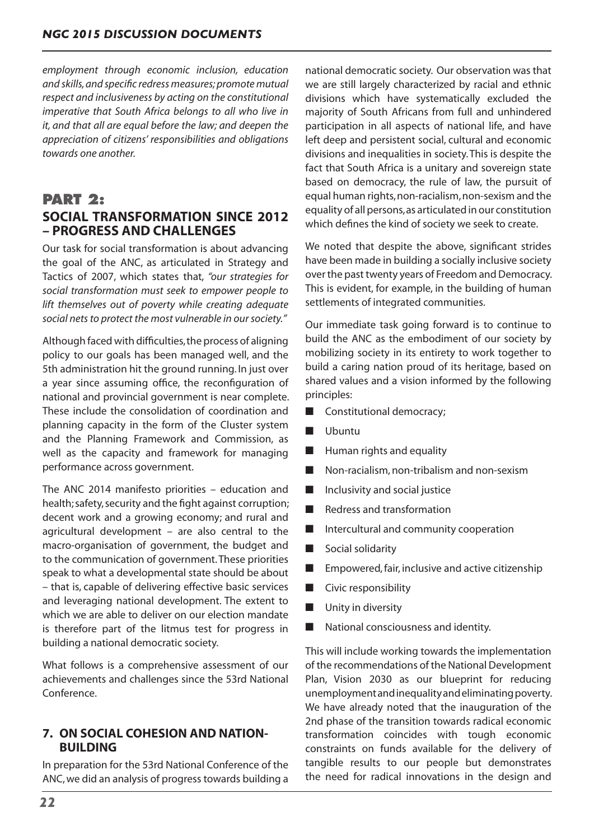*employment through economic inclusion, education and skills, and specific redress measures; promote mutual respect and inclusiveness by acting on the constitutional imperative that South Africa belongs to all who live in it, and that all are equal before the law; and deepen the appreciation of citizens' responsibilities and obligations towards one another.*

# **PART 2: SOCIAL TRANSFORMATION SINCE 2012 – PROGRESS AND CHALLENGES**

Our task for social transformation is about advancing the goal of the ANC, as articulated in Strategy and Tactics of 2007, which states that, *"our strategies for social transformation must seek to empower people to lift themselves out of poverty while creating adequate social nets to protect the most vulnerable in our society."*

Although faced with difficulties,the process of aligning policy to our goals has been managed well, and the 5th administration hit the ground running. In just over a year since assuming office, the reconfiguration of national and provincial government is near complete. These include the consolidation of coordination and planning capacity in the form of the Cluster system and the Planning Framework and Commission, as well as the capacity and framework for managing performance across government.

The ANC 2014 manifesto priorities – education and health; safety, security and the fight against corruption; decent work and a growing economy; and rural and agricultural development – are also central to the macro-organisation of government, the budget and to the communication of government.These priorities speak to what a developmental state should be about – that is, capable of delivering effective basic services and leveraging national development. The extent to which we are able to deliver on our election mandate is therefore part of the litmus test for progress in building a national democratic society.

What follows is a comprehensive assessment of our achievements and challenges since the 53rd National Conference.

# **7. ON SOCIAL COHESION AND NATION-BUILDING**

In preparation for the 53rd National Conference of the ANC,we did an analysis of progresstowards building a national democratic society. Our observation was that we are still largely characterized by racial and ethnic divisions which have systematically excluded the majority of South Africans from full and unhindered participation in all aspects of national life, and have left deep and persistent social, cultural and economic divisions and inequalities in society.This is despite the fact that South Africa is a unitary and sovereign state based on democracy, the rule of law, the pursuit of equal human rights,non-racialism,non-sexism and the equality of all persons,as articulated in our constitution which defines the kind of society we seek to create.

We noted that despite the above, significant strides have been made in building a socially inclusive society over the past twenty years of Freedom and Democracy. This is evident, for example, in the building of human settlements of integrated communities.

Our immediate task going forward is to continue to build the ANC as the embodiment of our society by mobilizing society in its entirety to work together to build a caring nation proud of its heritage, based on shared values and a vision informed by the following principles:

- Constitutional democracy;
- Ubuntu
- Human rights and equality
- Non-racialism, non-tribalism and non-sexism
- Inclusivity and social justice
- Redress and transformation
- Intercultural and community cooperation
- Social solidarity
- Empowered, fair, inclusive and active citizenship
- Civic responsibility
- Unity in diversity
- National consciousness and identity.

This will include working towards the implementation of the recommendations of the National Development Plan, Vision 2030 as our blueprint for reducing unemploymentandinequalityandeliminatingpoverty. We have already noted that the inauguration of the 2nd phase of the transition towards radical economic transformation coincides with tough economic constraints on funds available for the delivery of tangible results to our people but demonstrates the need for radical innovations in the design and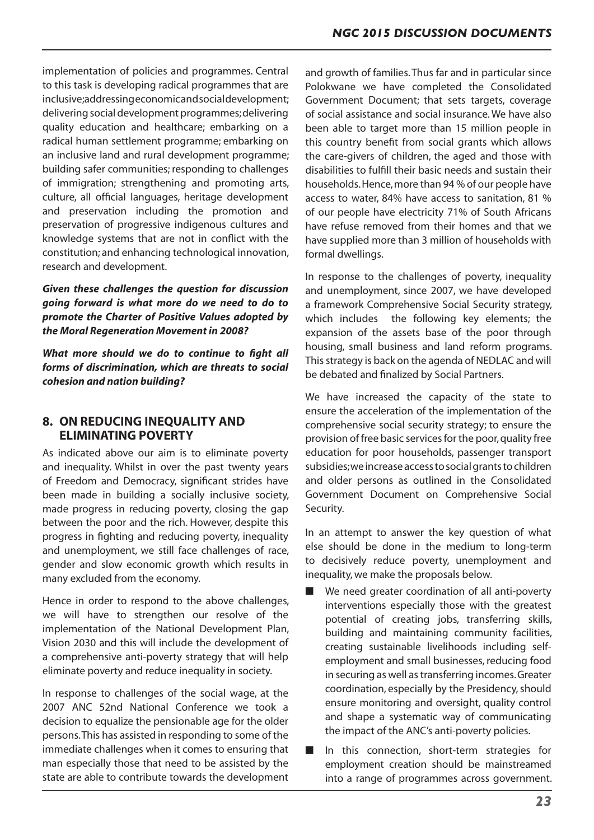implementation of policies and programmes. Central to this task is developing radical programmes that are inclusive;addressingeconomicandsocialdevelopment; delivering social development programmes;delivering quality education and healthcare; embarking on a radical human settlement programme; embarking on an inclusive land and rural development programme; building safer communities; responding to challenges of immigration; strengthening and promoting arts, culture, all official languages, heritage development and preservation including the promotion and preservation of progressive indigenous cultures and knowledge systems that are not in conflict with the constitution; and enhancing technological innovation, research and development.

*Given these challenges the question for discussion going forward is what more do we need to do to promote the Charter of Positive Values adopted by the Moral Regeneration Movement in 2008?*

*What more should we do to continue to fight all forms of discrimination, which are threats to social cohesion and nation building?*

## **8. ON REDUCING INEQUALITY AND ELIMINATING POVERTY**

As indicated above our aim is to eliminate poverty and inequality. Whilst in over the past twenty years of Freedom and Democracy, significant strides have been made in building a socially inclusive society, made progress in reducing poverty, closing the gap between the poor and the rich. However, despite this progress in fighting and reducing poverty, inequality and unemployment, we still face challenges of race, gender and slow economic growth which results in many excluded from the economy.

Hence in order to respond to the above challenges, we will have to strengthen our resolve of the implementation of the National Development Plan, Vision 2030 and this will include the development of a comprehensive anti-poverty strategy that will help eliminate poverty and reduce inequality in society.

In response to challenges of the social wage, at the 2007 ANC 52nd National Conference we took a decision to equalize the pensionable age for the older persons.This has assisted in responding to some of the immediate challenges when it comes to ensuring that man especially those that need to be assisted by the state are able to contribute towards the development

and growth of families.Thus far and in particular since Polokwane we have completed the Consolidated Government Document; that sets targets, coverage of social assistance and social insurance.We have also been able to target more than 15 million people in this country benefit from social grants which allows the care-givers of children, the aged and those with disabilities to fulfill their basic needs and sustain their households.Hence,more than 94 % of our people have access to water, 84% have access to sanitation, 81 % of our people have electricity 71% of South Africans have refuse removed from their homes and that we have supplied more than 3 million of households with formal dwellings.

In response to the challenges of poverty, inequality and unemployment, since 2007, we have developed a framework Comprehensive Social Security strategy, which includes the following key elements; the expansion of the assets base of the poor through housing, small business and land reform programs. This strategy is back on the agenda of NEDLAC and will be debated and finalized by Social Partners.

We have increased the capacity of the state to ensure the acceleration of the implementation of the comprehensive social security strategy; to ensure the provision of free basic servicesfor the poor,quality free education for poor households, passenger transport subsidies;weincreaseaccesstosocialgrantstochildren and older persons as outlined in the Consolidated Government Document on Comprehensive Social Security.

In an attempt to answer the key question of what else should be done in the medium to long-term to decisively reduce poverty, unemployment and inequality,we make the proposals below.

- We need greater coordination of all anti-poverty interventions especially those with the greatest potential of creating jobs, transferring skills, building and maintaining community facilities, creating sustainable livelihoods including selfemployment and small businesses, reducing food in securing as well as transferring incomes. Greater coordination, especially by the Presidency, should ensure monitoring and oversight, quality control and shape a systematic way of communicating the impact of the ANC's anti-poverty policies.
- In this connection, short-term strategies for employment creation should be mainstreamed into a range of programmes across government.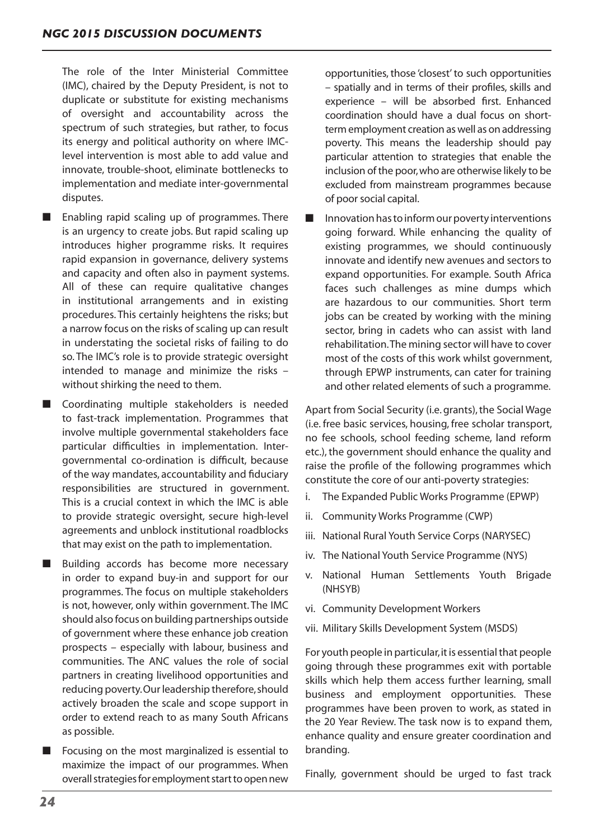The role of the Inter Ministerial Committee (IMC), chaired by the Deputy President, is not to duplicate or substitute for existing mechanisms of oversight and accountability across the spectrum of such strategies, but rather, to focus its energy and political authority on where IMClevel intervention is most able to add value and innovate, trouble-shoot, eliminate bottlenecks to implementation and mediate inter-governmental disputes.

- Enabling rapid scaling up of programmes. There is an urgency to create jobs. But rapid scaling up introduces higher programme risks. It requires rapid expansion in governance, delivery systems and capacity and often also in payment systems. All of these can require qualitative changes in institutional arrangements and in existing procedures. This certainly heightens the risks; but a narrow focus on the risks of scaling up can result in understating the societal risks of failing to do so. The IMC's role is to provide strategic oversight intended to manage and minimize the risks – without shirking the need to them.
- Coordinating multiple stakeholders is needed to fast-track implementation. Programmes that involve multiple governmental stakeholders face particular difficulties in implementation. Intergovernmental co-ordination is difficult, because of the way mandates, accountability and fiduciary responsibilities are structured in government. This is a crucial context in which the IMC is able to provide strategic oversight, secure high-level agreements and unblock institutional roadblocks that may exist on the path to implementation.
- Building accords has become more necessary in order to expand buy-in and support for our programmes. The focus on multiple stakeholders is not, however, only within government. The IMC should also focus on building partnerships outside of government where these enhance job creation prospects – especially with labour, business and communities. The ANC values the role of social partners in creating livelihood opportunities and reducing poverty. Our leadership therefore, should actively broaden the scale and scope support in order to extend reach to as many South Africans as possible.
- Focusing on the most marginalized is essential to maximize the impact of our programmes. When overall strategies for employment start to open new

opportunities, those 'closest'to such opportunities – spatially and in terms of their profiles, skills and experience – will be absorbed first. Enhanced coordination should have a dual focus on shortterm employment creation as well as on addressing poverty. This means the leadership should pay particular attention to strategies that enable the inclusion of the poor,who are otherwise likely to be excluded from mainstream programmes because of poorsocial capital.

Innovation has to inform our poverty interventions going forward. While enhancing the quality of existing programmes, we should continuously innovate and identify new avenues and sectors to expand opportunities. For example. South Africa faces such challenges as mine dumps which are hazardous to our communities. Short term jobs can be created by working with the mining sector, bring in cadets who can assist with land rehabilitation.The mining sector will have to cover most of the costs of this work whilst government, through EPWP instruments, can cater for training and other related elements of such a programme.

Apart from Social Security (i.e. grants), the Social Wage (i.e. free basic services, housing, free scholar transport, no fee schools, school feeding scheme, land reform etc.), the government should enhance the quality and raise the profile of the following programmes which constitute the core of our anti-poverty strategies:

- i. The Expanded Public Works Programme (EPWP)
- ii. Community Works Programme (CWP)
- iii. National Rural Youth Service Corps (NARYSEC)
- iv. The National Youth Service Programme (NYS)
- v. National Human Settlements Youth Brigade (NHSYB)
- vi. Community Development Workers
- vii. Military Skills Development System (MSDS)

For youth people in particular, it is essential that people going through these programmes exit with portable skills which help them access further learning, small business and employment opportunities. These programmes have been proven to work, as stated in the 20 Year Review. The task now is to expand them, enhance quality and ensure greater coordination and branding.

Finally, government should be urged to fast track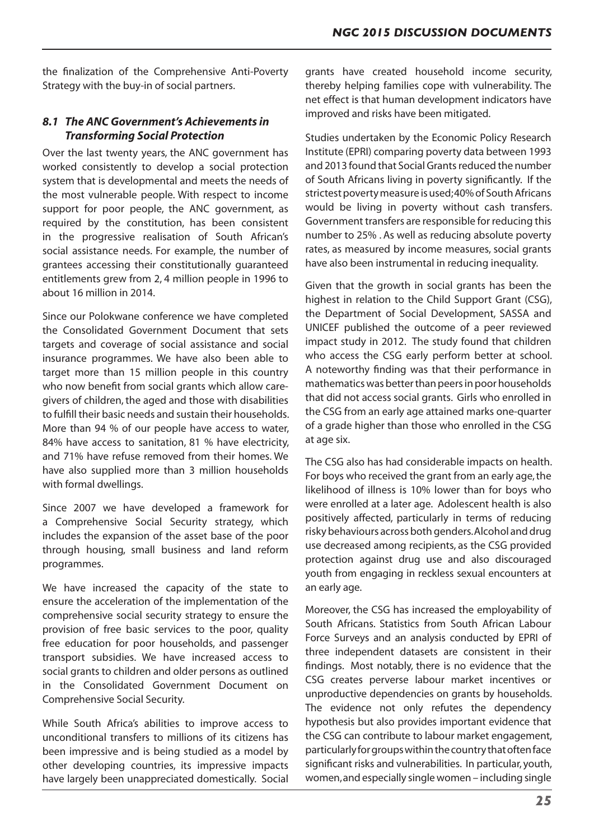the finalization of the Comprehensive Anti-Poverty Strategy with the buy-in of social partners.

# *8.1 The ANC Government's Achievements in Transforming Social Protection*

Over the last twenty years, the ANC government has worked consistently to develop a social protection system that is developmental and meets the needs of the most vulnerable people. With respect to income support for poor people, the ANC government, as required by the constitution, has been consistent in the progressive realisation of South African's social assistance needs. For example, the number of grantees accessing their constitutionally guaranteed entitlements grew from 2, 4 million people in 1996 to about 16 million in 2014.

Since our Polokwane conference we have completed the Consolidated Government Document that sets targets and coverage of social assistance and social insurance programmes. We have also been able to target more than 15 million people in this country who now benefit from social grants which allow caregivers of children, the aged and those with disabilities to fulfill their basic needs and sustain their households. More than 94 % of our people have access to water, 84% have access to sanitation, 81 % have electricity, and 71% have refuse removed from their homes. We have also supplied more than 3 million households with formal dwellings.

Since 2007 we have developed a framework for a Comprehensive Social Security strategy, which includes the expansion of the asset base of the poor through housing, small business and land reform programmes.

We have increased the capacity of the state to ensure the acceleration of the implementation of the comprehensive social security strategy to ensure the provision of free basic services to the poor, quality free education for poor households, and passenger transport subsidies. We have increased access to social grants to children and older persons as outlined in the Consolidated Government Document on Comprehensive Social Security.

While South Africa's abilities to improve access to unconditional transfers to millions of its citizens has been impressive and is being studied as a model by other developing countries, its impressive impacts have largely been unappreciated domestically. Social

grants have created household income security, thereby helping families cope with vulnerability. The net effect is that human development indicators have improved and risks have been mitigated.

Studies undertaken by the Economic Policy Research Institute (EPRI) comparing poverty data between 1993 and 2013 found that Social Grants reduced the number of South Africans living in poverty significantly. If the strictest poverty measure is used;40% of South Africans would be living in poverty without cash transfers. Government transfers are responsible for reducing this number to 25% . As well as reducing absolute poverty rates, as measured by income measures, social grants have also been instrumental in reducing inequality.

Given that the growth in social grants has been the highest in relation to the Child Support Grant (CSG), the Department of Social Development, SASSA and UNICEF published the outcome of a peer reviewed impact study in 2012. The study found that children who access the CSG early perform better at school. A noteworthy finding was that their performance in mathematics was better than peers in poor households that did not access social grants. Girls who enrolled in the CSG from an early age attained marks one-quarter of a grade higher than those who enrolled in the CSG at age six.

The CSG also has had considerable impacts on health. For boys who received the grant from an early age, the likelihood of illness is 10% lower than for boys who were enrolled at a later age. Adolescent health is also positively affected, particularly in terms of reducing risky behaviours across both genders. Alcohol and drug use decreased among recipients, as the CSG provided protection against drug use and also discouraged youth from engaging in reckless sexual encounters at an early age.

Moreover, the CSG has increased the employability of South Africans. Statistics from South African Labour Force Surveys and an analysis conducted by EPRI of three independent datasets are consistent in their findings. Most notably, there is no evidence that the CSG creates perverse labour market incentives or unproductive dependencies on grants by households. The evidence not only refutes the dependency hypothesis but also provides important evidence that the CSG can contribute to labour market engagement, particularlyforgroupswithinthecountrythatoftenface significant risks and vulnerabilities. In particular, youth, women,and especially single women – including single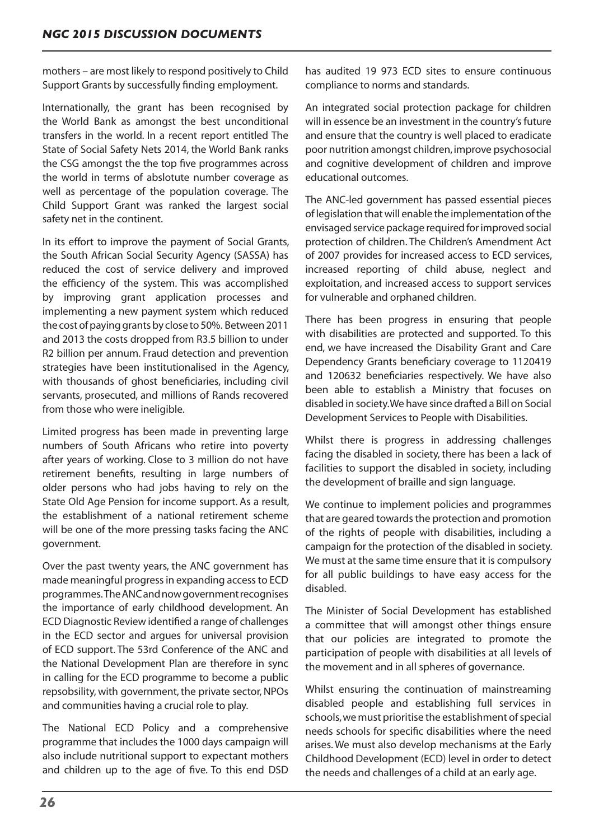mothers – are most likely to respond positively to Child Support Grants by successfully finding employment.

Internationally, the grant has been recognised by the World Bank as amongst the best unconditional transfers in the world. In a recent report entitled The State of Social Safety Nets 2014, the World Bank ranks the CSG amongst the the top five programmes across the world in terms of abslotute number coverage as well as percentage of the population coverage. The Child Support Grant was ranked the largest social safety net in the continent.

In its effort to improve the payment of Social Grants, the South African Social Security Agency (SASSA) has reduced the cost of service delivery and improved the efficiency of the system. This was accomplished by improving grant application processes and implementing a new payment system which reduced the cost of paying grants by close to 50%. Between 2011 and 2013 the costs dropped from R3.5 billion to under R2 billion per annum. Fraud detection and prevention strategies have been institutionalised in the Agency, with thousands of ghost beneficiaries, including civil servants, prosecuted, and millions of Rands recovered from those who were ineligible.

Limited progress has been made in preventing large numbers of South Africans who retire into poverty after years of working. Close to 3 million do not have retirement benefits, resulting in large numbers of older persons who had jobs having to rely on the State Old Age Pension for income support. As a result, the establishment of a national retirement scheme will be one of the more pressing tasks facing the ANC government.

Over the past twenty years, the ANC government has made meaningful progressin expanding accessto ECD programmes. TheANCandnowgovernmentrecognises the importance of early childhood development. An ECD Diagnostic Review identified a range of challenges in the ECD sector and argues for universal provision of ECD support. The 53rd Conference of the ANC and the National Development Plan are therefore in sync in calling for the ECD programme to become a public repsobsility, with government, the private sector, NPOs and communities having a crucial role to play.

The National ECD Policy and a comprehensive programme that includes the 1000 days campaign will also include nutritional support to expectant mothers and children up to the age of five. To this end DSD

has audited 19 973 ECD sites to ensure continuous compliance to norms and standards.

An integrated social protection package for children will in essence be an investment in the country's future and ensure that the country is well placed to eradicate poor nutrition amongst children,improve psychosocial and cognitive development of children and improve educational outcomes.

The ANC-led government has passed essential pieces of legislation that will enable the implementation of the envisaged service package required for improved social protection of children. The Children's Amendment Act of 2007 provides for increased access to ECD services, increased reporting of child abuse, neglect and exploitation, and increased access to support services for vulnerable and orphaned children.

There has been progress in ensuring that people with disabilities are protected and supported. To this end, we have increased the Disability Grant and Care Dependency Grants beneficiary coverage to 1120419 and 120632 beneficiaries respectively. We have also been able to establish a Ministry that focuses on disabled in society.We have since drafted a Bill on Social Development Services to People with Disabilities.

Whilst there is progress in addressing challenges facing the disabled in society, there has been a lack of facilities to support the disabled in society, including the development of braille and sign language.

We continue to implement policies and programmes that are geared towards the protection and promotion of the rights of people with disabilities, including a campaign for the protection of the disabled in society. We must at the same time ensure that it is compulsory for all public buildings to have easy access for the disabled.

The Minister of Social Development has established a committee that will amongst other things ensure that our policies are integrated to promote the participation of people with disabilities at all levels of the movement and in all spheres of governance.

Whilst ensuring the continuation of mainstreaming disabled people and establishing full services in schools, we must prioritise the establishment of special needs schools for specific disabilities where the need arises. We must also develop mechanisms at the Early Childhood Development (ECD) level in order to detect the needs and challenges of a child at an early age.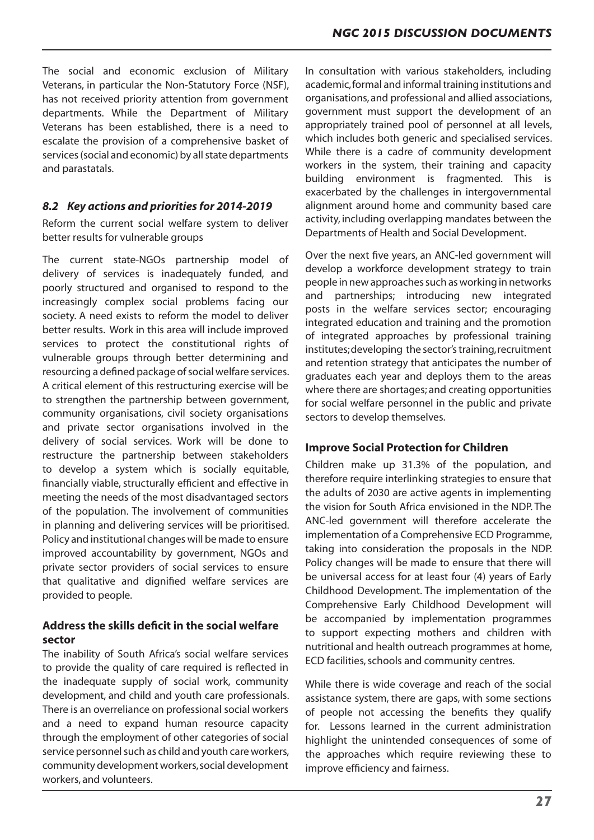The social and economic exclusion of Military Veterans, in particular the Non-Statutory Force (NSF), has not received priority attention from government departments. While the Department of Military Veterans has been established, there is a need to escalate the provision of a comprehensive basket of services (social and economic) by all state departments and parastatals.

## *8.2 Key actions and priorities for 2014-2019*

Reform the current social welfare system to deliver better results for vulnerable groups

The current state-NGOs partnership model of delivery of services is inadequately funded, and poorly structured and organised to respond to the increasingly complex social problems facing our society. A need exists to reform the model to deliver better results. Work in this area will include improved services to protect the constitutional rights of vulnerable groups through better determining and resourcing a defined package of social welfare services. A critical element of this restructuring exercise will be to strengthen the partnership between government, community organisations, civil society organisations and private sector organisations involved in the delivery of social services. Work will be done to restructure the partnership between stakeholders to develop a system which is socially equitable, financially viable, structurally efficient and effective in meeting the needs of the most disadvantaged sectors of the population. The involvement of communities in planning and delivering services will be prioritised. Policy and institutional changes will be made to ensure improved accountability by government, NGOs and private sector providers of social services to ensure that qualitative and dignified welfare services are provided to people.

# **Address the skills deficit in the social welfare sector**

The inability of South Africa's social welfare services to provide the quality of care required is reflected in the inadequate supply of social work, community development, and child and youth care professionals. There is an overreliance on professional social workers and a need to expand human resource capacity through the employment of other categories of social service personnel such as child and youth care workers, community development workers,social development workers, and volunteers.

In consultation with various stakeholders, including academic, formal and informal training institutions and organisations, and professional and allied associations, government must support the development of an appropriately trained pool of personnel at all levels, which includes both generic and specialised services. While there is a cadre of community development workers in the system, their training and capacity building environment is fragmented. This is exacerbated by the challenges in intergovernmental alignment around home and community based care activity, including overlapping mandates between the Departments of Health and Social Development.

Over the next five years, an ANC-led government will develop a workforce development strategy to train people in new approaches such as working in networks and partnerships; introducing new integrated posts in the welfare services sector; encouraging integrated education and training and the promotion of integrated approaches by professional training institutes;developing the sector'straining,recruitment and retention strategy that anticipates the number of graduates each year and deploys them to the areas where there are shortages; and creating opportunities for social welfare personnel in the public and private sectors to develop themselves.

# **Improve Social Protection for Children**

Children make up 31.3% of the population, and therefore require interlinking strategies to ensure that the adults of 2030 are active agents in implementing the vision for South Africa envisioned in the NDP. The ANC-led government will therefore accelerate the implementation of a Comprehensive ECD Programme, taking into consideration the proposals in the NDP. Policy changes will be made to ensure that there will be universal access for at least four (4) years of Early Childhood Development. The implementation of the Comprehensive Early Childhood Development will be accompanied by implementation programmes to support expecting mothers and children with nutritional and health outreach programmes at home, ECD facilities, schools and community centres.

While there is wide coverage and reach of the social assistance system, there are gaps, with some sections of people not accessing the benefits they qualify for. Lessons learned in the current administration highlight the unintended consequences of some of the approaches which require reviewing these to improve efficiency and fairness.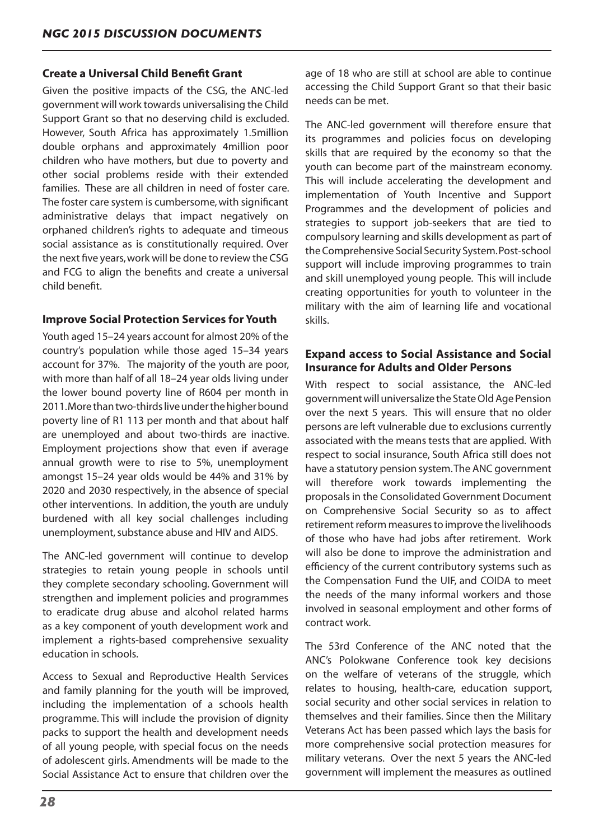# **Create a Universal Child Benefit Grant**

Given the positive impacts of the CSG, the ANC-led government will work towards universalising the Child Support Grant so that no deserving child is excluded. However, South Africa has approximately 1.5million double orphans and approximately 4million poor children who have mothers, but due to poverty and other social problems reside with their extended families. These are all children in need of foster care. The foster care system is cumbersome, with significant administrative delays that impact negatively on orphaned children's rights to adequate and timeous social assistance as is constitutionally required. Over the next five years,work will be done to review the CSG and FCG to align the benefits and create a universal child benefit.

# **Improve Social Protection Services for Youth**

Youth aged 15–24 years account for almost 20% of the country's population while those aged 15–34 years account for 37%. The majority of the youth are poor, with more than half of all 18–24 year olds living under the lower bound poverty line of R604 per month in 2011. More than two-thirds live under the higher bound poverty line of R1 113 per month and that about half are unemployed and about two-thirds are inactive. Employment projections show that even if average annual growth were to rise to 5%, unemployment amongst 15–24 year olds would be 44% and 31% by 2020 and 2030 respectively, in the absence of special other interventions. In addition, the youth are unduly burdened with all key social challenges including unemployment,substance abuse and HIV and AIDS.

The ANC-led government will continue to develop strategies to retain young people in schools until they complete secondary schooling. Government will strengthen and implement policies and programmes to eradicate drug abuse and alcohol related harms as a key component of youth development work and implement a rights-based comprehensive sexuality education in schools.

Access to Sexual and Reproductive Health Services and family planning for the youth will be improved, including the implementation of a schools health programme. This will include the provision of dignity packs to support the health and development needs of all young people, with special focus on the needs of adolescent girls. Amendments will be made to the Social Assistance Act to ensure that children over the

age of 18 who are still at school are able to continue accessing the Child Support Grant so that their basic needs can be met.

The ANC-led government will therefore ensure that its programmes and policies focus on developing skills that are required by the economy so that the youth can become part of the mainstream economy. This will include accelerating the development and implementation of Youth Incentive and Support Programmes and the development of policies and strategies to support job-seekers that are tied to compulsory learning and skills development as part of theComprehensive Social Security System.Post-school support will include improving programmes to train and skill unemployed young people. This will include creating opportunities for youth to volunteer in the military with the aim of learning life and vocational skills.

# **Expand access to Social Assistance and Social Insurance for Adults and Older Persons**

With respect to social assistance, the ANC-led governmentwilluniversalize the StateOldAge Pension over the next 5 years. This will ensure that no older persons are left vulnerable due to exclusions currently associated with the means tests that are applied. With respect to social insurance, South Africa still does not have a statutory pension system.The ANC government will therefore work towards implementing the proposals in the Consolidated Government Document on Comprehensive Social Security so as to affect retirement reform measures to improve the livelihoods of those who have had jobs after retirement. Work will also be done to improve the administration and efficiency of the current contributory systems such as the Compensation Fund the UIF, and COIDA to meet the needs of the many informal workers and those involved in seasonal employment and other forms of contract work.

The 53rd Conference of the ANC noted that the ANC's Polokwane Conference took key decisions on the welfare of veterans of the struggle, which relates to housing, health-care, education support, social security and other social services in relation to themselves and their families. Since then the Military Veterans Act has been passed which lays the basis for more comprehensive social protection measures for military veterans. Over the next 5 years the ANC-led government will implement the measures as outlined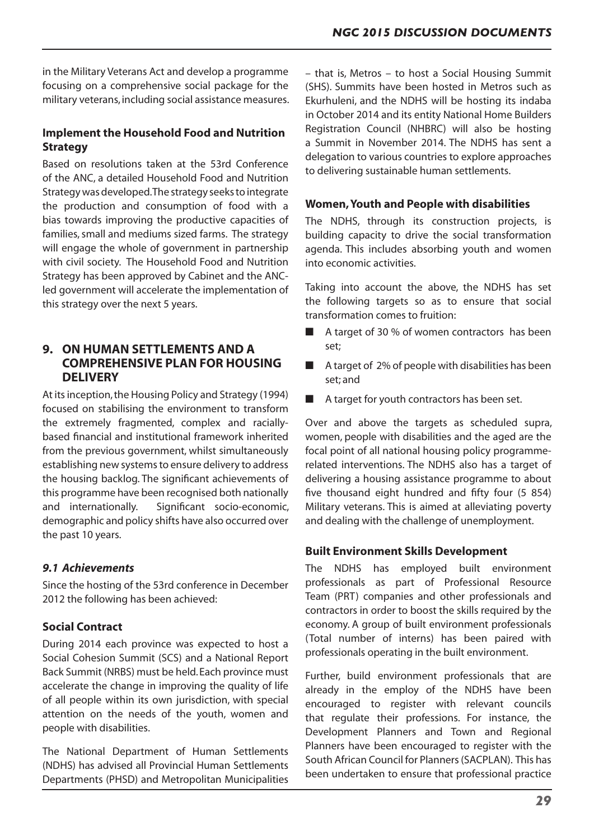in the Military Veterans Act and develop a programme focusing on a comprehensive social package for the military veterans, including social assistance measures.

# **Implement the Household Food and Nutrition Strategy**

Based on resolutions taken at the 53rd Conference of the ANC, a detailed Household Food and Nutrition Strategy was developed. The strategy seeks to integrate the production and consumption of food with a bias towards improving the productive capacities of families, small and mediums sized farms. The strategy will engage the whole of government in partnership with civil society. The Household Food and Nutrition Strategy has been approved by Cabinet and the ANCled government will accelerate the implementation of this strategy over the next 5 years.

# **9. ON HUMAN SETTLEMENTS AND A COMPREHENSIVE PLAN FOR HOUSING DELIVERY**

At its inception, the Housing Policy and Strategy (1994) focused on stabilising the environment to transform the extremely fragmented, complex and raciallybased financial and institutional framework inherited from the previous government, whilst simultaneously establishing new systems to ensure delivery to address the housing backlog. The significant achievements of this programme have been recognised both nationally and internationally. Significant socio-economic, demographic and policy shifts have also occurred over the past 10 years.

# *9.1 Achievements*

Since the hosting of the 53rd conference in December 2012 the following has been achieved:

# **Social Contract**

During 2014 each province was expected to host a Social Cohesion Summit (SCS) and a National Report Back Summit (NRBS) must be held.Each province must accelerate the change in improving the quality of life of all people within its own jurisdiction, with special attention on the needs of the youth, women and people with disabilities.

The National Department of Human Settlements (NDHS) has advised all Provincial Human Settlements Departments (PHSD) and Metropolitan Municipalities

– that is, Metros – to host a Social Housing Summit (SHS). Summits have been hosted in Metros such as Ekurhuleni, and the NDHS will be hosting its indaba in October 2014 and its entity National Home Builders Registration Council (NHBRC) will also be hosting a Summit in November 2014. The NDHS has sent a delegation to various countries to explore approaches to delivering sustainable human settlements.

# **Women, Youth and People with disabilities**

The NDHS, through its construction projects, is building capacity to drive the social transformation agenda. This includes absorbing youth and women into economic activities.

Taking into account the above, the NDHS has set the following targets so as to ensure that social transformation comes to fruition:

- A target of 30 % of women contractors has been set;
- A target of 2% of people with disabilities has been set; and
- A target for youth contractors has been set.

Over and above the targets as scheduled supra, women, people with disabilities and the aged are the focal point of all national housing policy programmerelated interventions. The NDHS also has a target of delivering a housing assistance programme to about five thousand eight hundred and fifty four (5 854) Military veterans. This is aimed at alleviating poverty and dealing with the challenge of unemployment.

## **Built Environment Skills Development**

The NDHS has employed built environment professionals as part of Professional Resource Team (PRT) companies and other professionals and contractors in order to boost the skills required by the economy. A group of built environment professionals (Total number of interns) has been paired with professionals operating in the built environment.

Further, build environment professionals that are already in the employ of the NDHS have been encouraged to register with relevant councils that regulate their professions. For instance, the Development Planners and Town and Regional Planners have been encouraged to register with the South African Council for Planners(SACPLAN). This has been undertaken to ensure that professional practice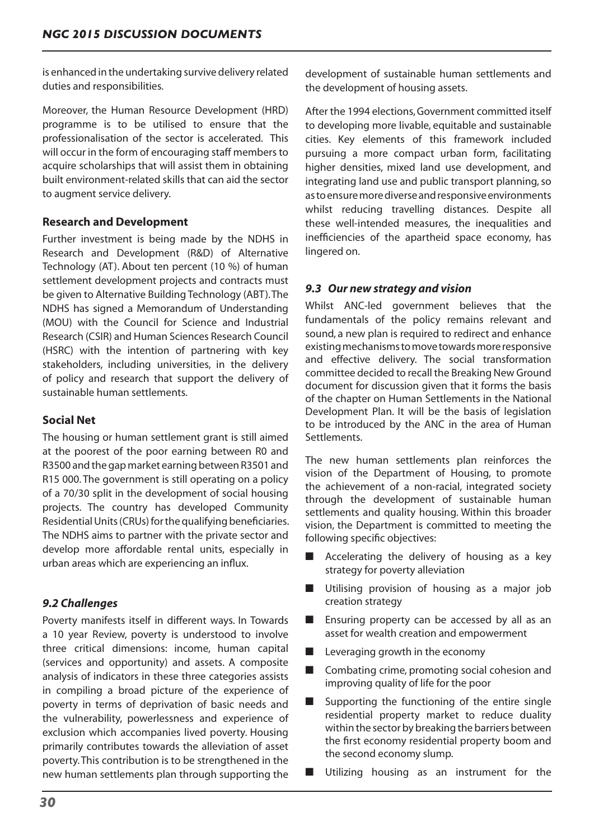is enhanced in the undertaking survive delivery related duties and responsibilities.

Moreover, the Human Resource Development (HRD) programme is to be utilised to ensure that the professionalisation of the sector is accelerated. This will occur in the form of encouraging staff members to acquire scholarships that will assist them in obtaining built environment-related skills that can aid the sector to augment service delivery.

# **Research and Development**

Further investment is being made by the NDHS in Research and Development (R&D) of Alternative Technology (AT). About ten percent (10 %) of human settlement development projects and contracts must be given to Alternative Building Technology (ABT).The NDHS has signed a Memorandum of Understanding (MOU) with the Council for Science and Industrial Research (CSIR) and Human Sciences Research Council (HSRC) with the intention of partnering with key stakeholders, including universities, in the delivery of policy and research that support the delivery of sustainable human settlements.

# **Social Net**

The housing or human settlement grant is still aimed at the poorest of the poor earning between R0 and R3500 and the gap market earning between R3501 and R15 000. The government is still operating on a policy of a 70/30 split in the development of social housing projects. The country has developed Community Residential Units (CRUs) for the qualifying beneficiaries. The NDHS aims to partner with the private sector and develop more affordable rental units, especially in urban areas which are experiencing an influx.

# *9.2 Challenges*

Poverty manifests itself in different ways. In Towards a 10 year Review, poverty is understood to involve three critical dimensions: income, human capital (services and opportunity) and assets. A composite analysis of indicators in these three categories assists in compiling a broad picture of the experience of poverty in terms of deprivation of basic needs and the vulnerability, powerlessness and experience of exclusion which accompanies lived poverty. Housing primarily contributes towards the alleviation of asset poverty.This contribution is to be strengthened in the new human settlements plan through supporting the

development of sustainable human settlements and the development of housing assets.

After the 1994 elections,Government committed itself to developing more livable, equitable and sustainable cities. Key elements of this framework included pursuing a more compact urban form, facilitating higher densities, mixed land use development, and integrating land use and public transport planning,so astoensuremorediverseandresponsiveenvironments whilst reducing travelling distances. Despite all these well-intended measures, the inequalities and inefficiencies of the apartheid space economy, has lingered on.

# *9.3 Our new strategy and vision*

Whilst ANC-led government believes that the fundamentals of the policy remains relevant and sound, a new plan is required to redirect and enhance existingmechanismstomovetowardsmoreresponsive and effective delivery. The social transformation committee decided to recall the Breaking New Ground document for discussion given that it forms the basis of the chapter on Human Settlements in the National Development Plan. It will be the basis of legislation to be introduced by the ANC in the area of Human Settlements.

The new human settlements plan reinforces the vision of the Department of Housing, to promote the achievement of a non-racial, integrated society through the development of sustainable human settlements and quality housing. Within this broader vision, the Department is committed to meeting the following specific objectives:

- Accelerating the delivery of housing as a key strategy for poverty alleviation
- Utilising provision of housing as a major job creation strategy
- $\blacksquare$  Ensuring property can be accessed by all as an asset for wealth creation and empowerment
- $\blacksquare$  Leveraging growth in the economy
- Combating crime, promoting social cohesion and improving quality of life for the poor
- $\blacksquare$  Supporting the functioning of the entire single residential property market to reduce duality within the sector by breaking the barriers between the first economy residential property boom and the second economy slump.
- Utilizing housing as an instrument for the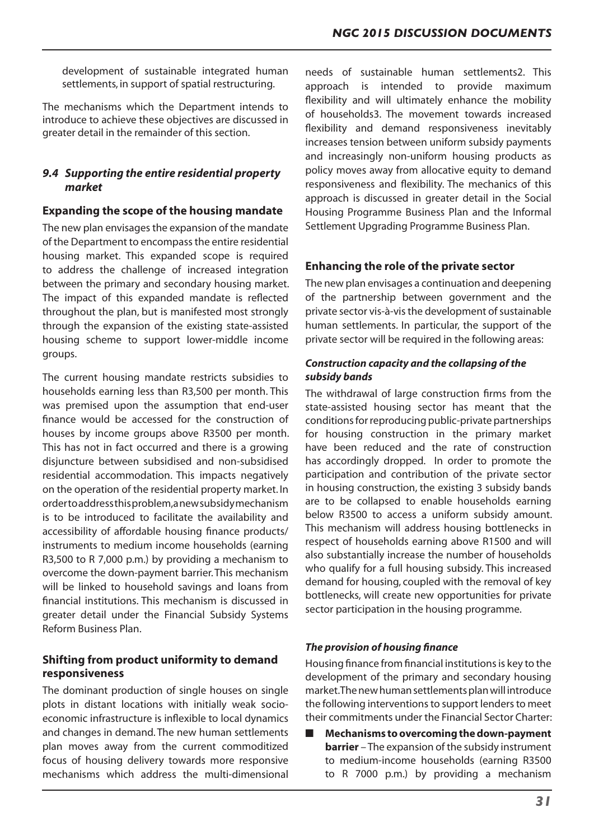development of sustainable integrated human settlements, in support of spatial restructuring.

The mechanisms which the Department intends to introduce to achieve these objectives are discussed in greater detail in the remainder of this section.

# *9.4 Supporting the entire residential property market*

#### **Expanding the scope of the housing mandate**

The new plan envisages the expansion of the mandate of the Department to encompass the entire residential housing market. This expanded scope is required to address the challenge of increased integration between the primary and secondary housing market. The impact of this expanded mandate is reflected throughout the plan, but is manifested most strongly through the expansion of the existing state-assisted housing scheme to support lower-middle income groups.

The current housing mandate restricts subsidies to households earning less than R3,500 per month. This was premised upon the assumption that end-user finance would be accessed for the construction of houses by income groups above R3500 per month. This has not in fact occurred and there is a growing disjuncture between subsidised and non-subsidised residential accommodation. This impacts negatively on the operation of the residential property market. In ordertoaddressthisproblem,anewsubsidymechanism is to be introduced to facilitate the availability and accessibility of affordable housing finance products/ instruments to medium income households (earning R3,500 to R 7,000 p.m.) by providing a mechanism to overcome the down-payment barrier.This mechanism will be linked to household savings and loans from financial institutions. This mechanism is discussed in greater detail under the Financial Subsidy Systems Reform Business Plan.

# **Shifting from product uniformity to demand responsiveness**

The dominant production of single houses on single plots in distant locations with initially weak socioeconomic infrastructure is inflexible to local dynamics and changes in demand. The new human settlements plan moves away from the current commoditized focus of housing delivery towards more responsive mechanisms which address the multi-dimensional

needs of sustainable human settlements2. This approach is intended to provide maximum flexibility and will ultimately enhance the mobility of households3. The movement towards increased flexibility and demand responsiveness inevitably increases tension between uniform subsidy payments and increasingly non-uniform housing products as policy moves away from allocative equity to demand responsiveness and flexibility. The mechanics of this approach is discussed in greater detail in the Social Housing Programme Business Plan and the Informal Settlement Upgrading Programme Business Plan.

# **Enhancing the role of the private sector**

The new plan envisages a continuation and deepening of the partnership between government and the private sector vis-à-vis the development of sustainable human settlements. In particular, the support of the private sector will be required in the following areas:

## *Construction capacity and the collapsing of the subsidy bands*

The withdrawal of large construction firms from the state-assisted housing sector has meant that the conditions for reproducing public-private partnerships for housing construction in the primary market have been reduced and the rate of construction has accordingly dropped. In order to promote the participation and contribution of the private sector in housing construction, the existing 3 subsidy bands are to be collapsed to enable households earning below R3500 to access a uniform subsidy amount. This mechanism will address housing bottlenecks in respect of households earning above R1500 and will also substantially increase the number of households who qualify for a full housing subsidy. This increased demand for housing, coupled with the removal of key bottlenecks, will create new opportunities for private sector participation in the housing programme.

## *The provision of housing finance*

Housing finance from financial institutionsis key to the development of the primary and secondary housing market. The new human settlements plan will introduce the following interventions to support lenders to meet their commitments under the Financial Sector Charter:

**Mechanisms to overcoming the down-payment barrier** – The expansion of the subsidy instrument to medium-income households (earning R3500 to R 7000 p.m.) by providing a mechanism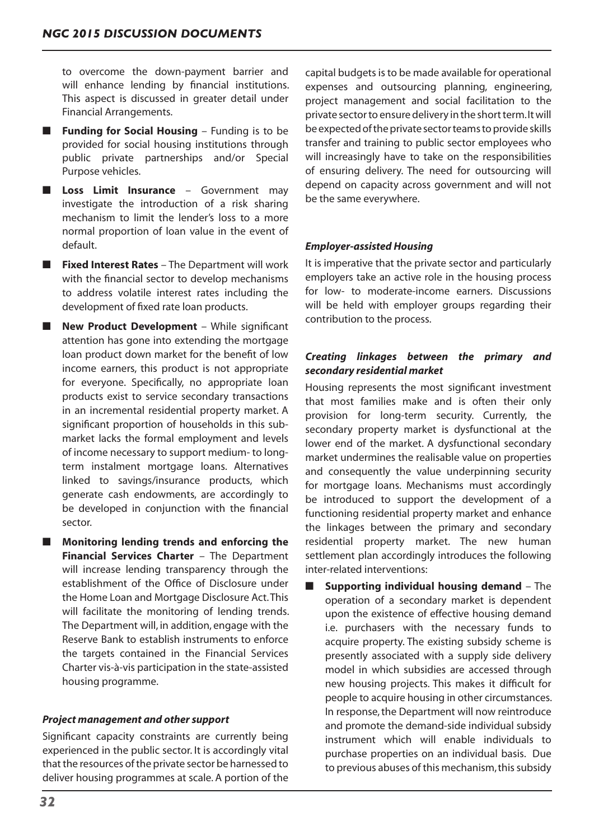to overcome the down-payment barrier and will enhance lending by financial institutions. This aspect is discussed in greater detail under Financial Arrangements.

- **Funding for Social Housing** Funding is to be provided for social housing institutions through public private partnerships and/or Special Purpose vehicles.
- **E** Loss Limit Insurance Government may investigate the introduction of a risk sharing mechanism to limit the lender's loss to a more normal proportion of loan value in the event of default.
- **Fixed Interest Rates** The Department will work with the financial sector to develop mechanisms to address volatile interest rates including the development of fixed rate loan products.
- **New Product Development** While significant attention has gone into extending the mortgage loan product down market for the benefit of low income earners, this product is not appropriate for everyone. Specifically, no appropriate loan products exist to service secondary transactions in an incremental residential property market. A significant proportion of households in this submarket lacks the formal employment and levels of income necessary to support medium- to longterm instalment mortgage loans. Alternatives linked to savings/insurance products, which generate cash endowments, are accordingly to be developed in conjunction with the financial sector.
- **Monitoring lending trends and enforcing the Financial Services Charter** – The Department will increase lending transparency through the establishment of the Office of Disclosure under the Home Loan and Mortgage Disclosure Act.This will facilitate the monitoring of lending trends. The Department will, in addition, engage with the Reserve Bank to establish instruments to enforce the targets contained in the Financial Services Charter vis-à-vis participation in the state-assisted housing programme.

## *Project management and other support*

Significant capacity constraints are currently being experienced in the public sector. It is accordingly vital that the resources of the private sector be harnessed to deliver housing programmes at scale. A portion of the

capital budgets is to be made available for operational expenses and outsourcing planning, engineering, project management and social facilitation to the private sector to ensure delivery in the short term. It will be expected of the private sector teams to provide skills transfer and training to public sector employees who will increasingly have to take on the responsibilities of ensuring delivery. The need for outsourcing will depend on capacity across government and will not be the same everywhere.

#### *Employer-assisted Housing*

It is imperative that the private sector and particularly employers take an active role in the housing process for low- to moderate-income earners. Discussions will be held with employer groups regarding their contribution to the process.

# *Creating linkages between the primary and secondary residential market*

Housing represents the most significant investment that most families make and is often their only provision for long-term security. Currently, the secondary property market is dysfunctional at the lower end of the market. A dysfunctional secondary market undermines the realisable value on properties and consequently the value underpinning security for mortgage loans. Mechanisms must accordingly be introduced to support the development of a functioning residential property market and enhance the linkages between the primary and secondary residential property market. The new human settlement plan accordingly introduces the following inter-related interventions:

**Supporting individual housing demand** – The operation of a secondary market is dependent upon the existence of effective housing demand i.e. purchasers with the necessary funds to acquire property. The existing subsidy scheme is presently associated with a supply side delivery model in which subsidies are accessed through new housing projects. This makes it difficult for people to acquire housing in other circumstances. In response, the Department will now reintroduce and promote the demand-side individual subsidy instrument which will enable individuals to purchase properties on an individual basis. Due to previous abuses of this mechanism, this subsidy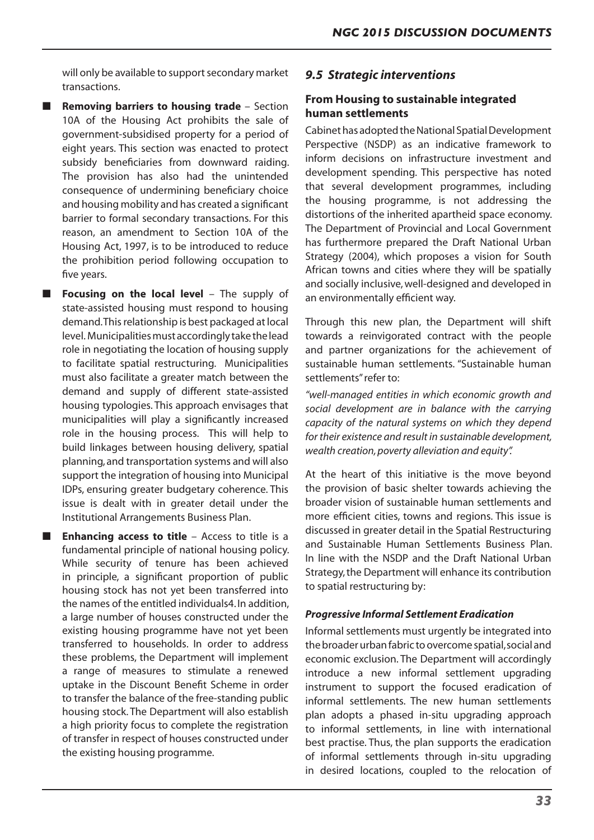will only be available to support secondary market transactions.

**Removing barriers to housing trade** – Section 10A of the Housing Act prohibits the sale of government-subsidised property for a period of eight years. This section was enacted to protect subsidy beneficiaries from downward raiding. The provision has also had the unintended consequence of undermining beneficiary choice and housing mobility and has created a significant barrier to formal secondary transactions. For this reason, an amendment to Section 10A of the Housing Act, 1997, is to be introduced to reduce the prohibition period following occupation to five years.

■ **Focusing on the local level** – The supply of state-assisted housing must respond to housing demand. This relationship is best packaged at local level. Municipalities must accordingly take the lead role in negotiating the location of housing supply to facilitate spatial restructuring. Municipalities must also facilitate a greater match between the demand and supply of different state-assisted housing typologies. This approach envisages that municipalities will play a significantly increased role in the housing process. This will help to build linkages between housing delivery, spatial planning,and transportation systems and will also support the integration of housing into Municipal IDPs, ensuring greater budgetary coherence. This issue is dealt with in greater detail under the Institutional Arrangements Business Plan.

■ **Enhancing access to title** – Access to title is a fundamental principle of national housing policy. While security of tenure has been achieved in principle, a significant proportion of public housing stock has not yet been transferred into the names of the entitled individuals4. In addition, a large number of houses constructed under the existing housing programme have not yet been transferred to households. In order to address these problems, the Department will implement a range of measures to stimulate a renewed uptake in the Discount Benefit Scheme in order to transfer the balance of the free-standing public housing stock. The Department will also establish a high priority focus to complete the registration of transfer in respect of houses constructed under the existing housing programme.

## *9.5 Strategic interventions*

# **From Housing to sustainable integrated human settlements**

Cabinet has adopted the National Spatial Development Perspective (NSDP) as an indicative framework to inform decisions on infrastructure investment and development spending. This perspective has noted that several development programmes, including the housing programme, is not addressing the distortions of the inherited apartheid space economy. The Department of Provincial and Local Government has furthermore prepared the Draft National Urban Strategy (2004), which proposes a vision for South African towns and cities where they will be spatially and socially inclusive, well-designed and developed in an environmentally efficient way.

Through this new plan, the Department will shift towards a reinvigorated contract with the people and partner organizations for the achievement of sustainable human settlements. "Sustainable human settlements"refer to:

*"well-managed entities in which economic growth and social development are in balance with the carrying capacity of the natural systems on which they depend for their existence and result in sustainable development, wealth creation, poverty alleviation and equity".* 

At the heart of this initiative is the move beyond the provision of basic shelter towards achieving the broader vision of sustainable human settlements and more efficient cities, towns and regions. This issue is discussed in greater detail in the Spatial Restructuring and Sustainable Human Settlements Business Plan. In line with the NSDP and the Draft National Urban Strategy, the Department will enhance its contribution to spatial restructuring by:

#### *Progressive Informal Settlement Eradication*

Informal settlements must urgently be integrated into the broader urban fabric to overcome spatial, social and economic exclusion. The Department will accordingly introduce a new informal settlement upgrading instrument to support the focused eradication of informal settlements. The new human settlements plan adopts a phased in-situ upgrading approach to informal settlements, in line with international best practise. Thus, the plan supports the eradication of informal settlements through in-situ upgrading in desired locations, coupled to the relocation of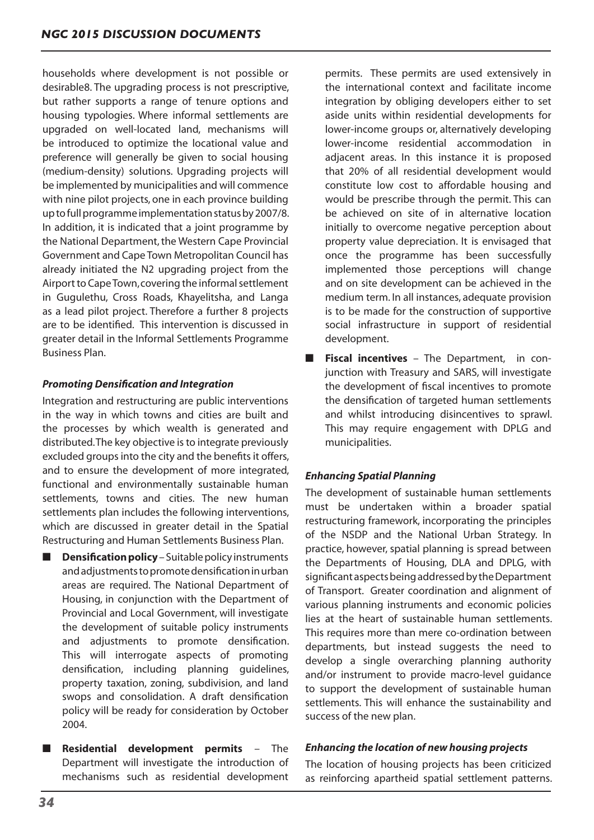households where development is not possible or desirable8. The upgrading process is not prescriptive, but rather supports a range of tenure options and housing typologies. Where informal settlements are upgraded on well-located land, mechanisms will be introduced to optimize the locational value and preference will generally be given to social housing (medium-density) solutions. Upgrading projects will be implemented by municipalities and will commence with nine pilot projects, one in each province building up to full programme implementation status by 2007/8. In addition, it is indicated that a joint programme by the National Department, the Western Cape Provincial Government and Cape Town Metropolitan Council has already initiated the N2 upgrading project from the Airport to Cape Town, covering the informal settlement in Gugulethu, Cross Roads, Khayelitsha, and Langa as a lead pilot project. Therefore a further 8 projects are to be identified. This intervention is discussed in greater detail in the Informal Settlements Programme Business Plan.

# *Promoting Densification and Integration*

Integration and restructuring are public interventions in the way in which towns and cities are built and the processes by which wealth is generated and distributed. The key objective is to integrate previously excluded groups into the city and the benefits it offers, and to ensure the development of more integrated, functional and environmentally sustainable human settlements, towns and cities. The new human settlements plan includes the following interventions, which are discussed in greater detail in the Spatial Restructuring and Human Settlements Business Plan.

- **Densification policy** Suitable policy instruments andadjustmentstopromotedensificationinurban areas are required. The National Department of Housing, in conjunction with the Department of Provincial and Local Government, will investigate the development of suitable policy instruments and adjustments to promote densification. This will interrogate aspects of promoting densification, including planning guidelines, property taxation, zoning, subdivision, and land swops and consolidation. A draft densification policy will be ready for consideration by October 2004.
- **Residential development permits** The Department will investigate the introduction of mechanisms such as residential development

permits. These permits are used extensively in the international context and facilitate income integration by obliging developers either to set aside units within residential developments for lower-income groups or, alternatively developing lower-income residential accommodation in adjacent areas. In this instance it is proposed that 20% of all residential development would constitute low cost to affordable housing and would be prescribe through the permit. This can be achieved on site of in alternative location initially to overcome negative perception about property value depreciation. It is envisaged that once the programme has been successfully implemented those perceptions will change and on site development can be achieved in the medium term. In all instances, adequate provision is to be made for the construction of supportive social infrastructure in support of residential development.

■ **Fiscal incentives** – The Department, in conjunction with Treasury and SARS, will investigate the development of fiscal incentives to promote the densification of targeted human settlements and whilst introducing disincentives to sprawl. This may require engagement with DPLG and municipalities.

# *Enhancing Spatial Planning*

The development of sustainable human settlements must be undertaken within a broader spatial restructuring framework, incorporating the principles of the NSDP and the National Urban Strategy. In practice, however, spatial planning is spread between the Departments of Housing, DLA and DPLG, with significant aspects being addressed by the Department of Transport. Greater coordination and alignment of various planning instruments and economic policies lies at the heart of sustainable human settlements. This requires more than mere co-ordination between departments, but instead suggests the need to develop a single overarching planning authority and/or instrument to provide macro-level guidance to support the development of sustainable human settlements. This will enhance the sustainability and success of the new plan.

## *Enhancing the location of new housing projects*

The location of housing projects has been criticized as reinforcing apartheid spatial settlement patterns.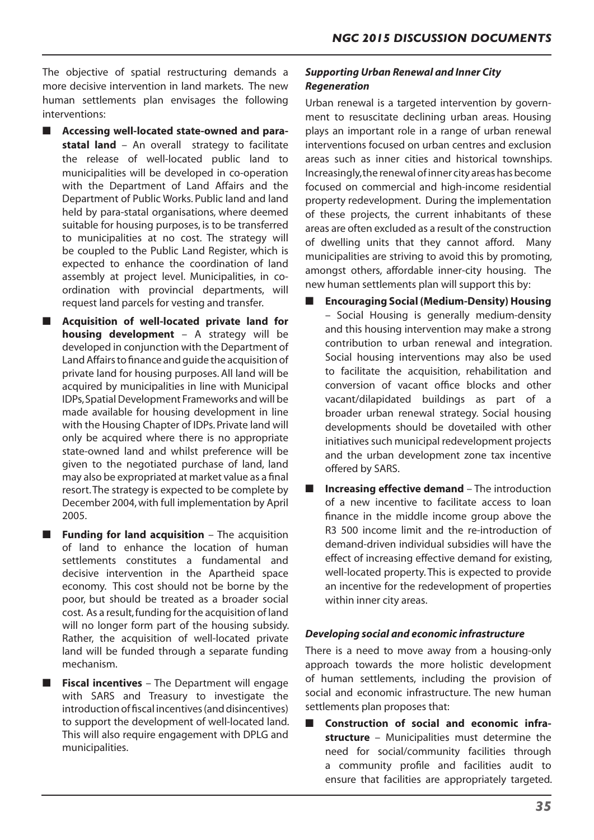The objective of spatial restructuring demands a more decisive intervention in land markets. The new human settlements plan envisages the following interventions:

- Accessing well-located state-owned and para**statal land** – An overall strategy to facilitate the release of well-located public land to municipalities will be developed in co-operation with the Department of Land Affairs and the Department of Public Works. Public land and land held by para-statal organisations, where deemed suitable for housing purposes, is to be transferred to municipalities at no cost. The strategy will be coupled to the Public Land Register, which is expected to enhance the coordination of land assembly at project level. Municipalities, in coordination with provincial departments, will request land parcels for vesting and transfer.
- **Acquisition of well-located private land for housing development** – A strategy will be developed in conjunction with the Department of LandAffairsto finance and guide the acquisition of private land for housing purposes. All land will be acquired by municipalities in line with Municipal IDPs,SpatialDevelopment Frameworks and will be made available for housing development in line with the Housing Chapter of IDPs. Private land will only be acquired where there is no appropriate state-owned land and whilst preference will be given to the negotiated purchase of land, land may also be expropriated at market value as a final resort.The strategy is expected to be complete by December 2004,with full implementation by April 2005.
- **Funding for land acquisition** The acquisition of land to enhance the location of human settlements constitutes a fundamental and decisive intervention in the Apartheid space economy. This cost should not be borne by the poor, but should be treated as a broader social cost. As a result,funding for the acquisition of land will no longer form part of the housing subsidy. Rather, the acquisition of well-located private land will be funded through a separate funding mechanism.
- **Fiscal incentives** The Department will engage with SARS and Treasury to investigate the introduction of fiscal incentives (and disincentives) to support the development of well-located land. This will also require engagement with DPLG and municipalities.

# *Supporting Urban Renewal and Inner City Regeneration*

Urban renewal is a targeted intervention by government to resuscitate declining urban areas. Housing plays an important role in a range of urban renewal interventions focused on urban centres and exclusion areas such as inner cities and historical townships. Increasingly,the renewal ofinner city areas hasbecome focused on commercial and high-income residential property redevelopment. During the implementation of these projects, the current inhabitants of these areas are often excluded as a result of the construction of dwelling units that they cannot afford. Many municipalities are striving to avoid this by promoting, amongst others, affordable inner-city housing. The new human settlements plan will support this by:

- **Encouraging Social (Medium-Density) Housing** – Social Housing is generally medium-density and this housing intervention may make a strong contribution to urban renewal and integration. Social housing interventions may also be used to facilitate the acquisition, rehabilitation and conversion of vacant office blocks and other vacant/dilapidated buildings as part of a broader urban renewal strategy. Social housing developments should be dovetailed with other initiatives such municipal redevelopment projects and the urban development zone tax incentive offered by SARS.
- **Increasing effective demand** The introduction of a new incentive to facilitate access to loan finance in the middle income group above the R3 500 income limit and the re-introduction of demand-driven individual subsidies will have the effect of increasing effective demand for existing, well-located property. This is expected to provide an incentive for the redevelopment of properties within inner city areas.

## *Developing social and economic infrastructure*

There is a need to move away from a housing-only approach towards the more holistic development of human settlements, including the provision of social and economic infrastructure. The new human settlements plan proposes that:

■ Construction of social and economic infra**structure** – Municipalities must determine the need for social/community facilities through a community profile and facilities audit to ensure that facilities are appropriately targeted.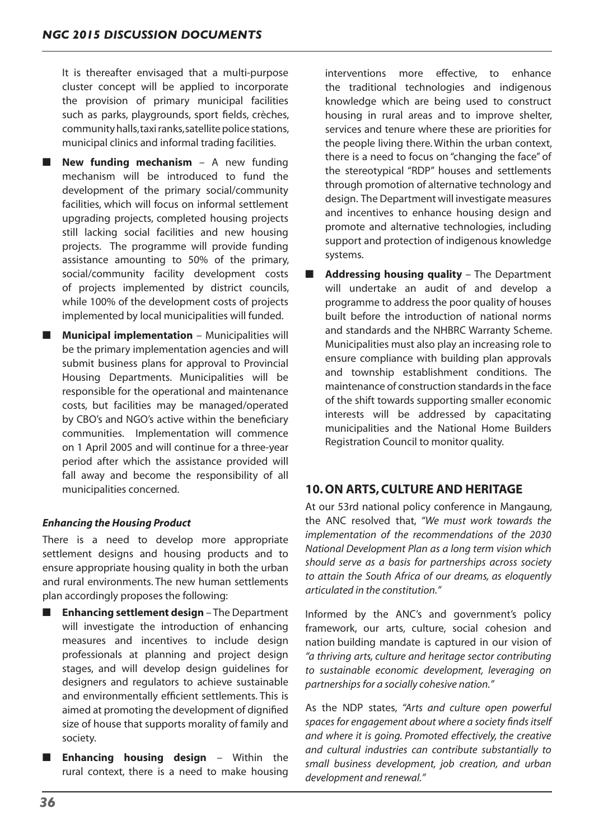It is thereafter envisaged that a multi-purpose cluster concept will be applied to incorporate the provision of primary municipal facilities such as parks, playgrounds, sport fields, crèches, community halls, taxi ranks, satellite police stations, municipal clinics and informal trading facilities.

- **New funding mechanism** A new funding mechanism will be introduced to fund the development of the primary social/community facilities, which will focus on informal settlement upgrading projects, completed housing projects still lacking social facilities and new housing projects. The programme will provide funding assistance amounting to 50% of the primary, social/community facility development costs of projects implemented by district councils, while 100% of the development costs of projects implemented by local municipalities will funded.
- **Municipal implementation** Municipalities will be the primary implementation agencies and will submit business plans for approval to Provincial Housing Departments. Municipalities will be responsible for the operational and maintenance costs, but facilities may be managed/operated by CBO's and NGO's active within the beneficiary communities. Implementation will commence on 1 April 2005 and will continue for a three-year period after which the assistance provided will fall away and become the responsibility of all municipalities concerned.

# *Enhancing the Housing Product*

There is a need to develop more appropriate settlement designs and housing products and to ensure appropriate housing quality in both the urban and rural environments. The new human settlements plan accordingly proposes the following:

- **Enhancing settlement design** The Department will investigate the introduction of enhancing measures and incentives to include design professionals at planning and project design stages, and will develop design guidelines for designers and regulators to achieve sustainable and environmentally efficient settlements. This is aimed at promoting the development of dignified size of house that supports morality of family and society.
- **Enhancing housing design** Within the rural context, there is a need to make housing

interventions more effective, to enhance the traditional technologies and indigenous knowledge which are being used to construct housing in rural areas and to improve shelter, services and tenure where these are priorities for the people living there. Within the urban context, there is a need to focus on "changing the face" of the stereotypical "RDP" houses and settlements through promotion of alternative technology and design. The Department will investigate measures and incentives to enhance housing design and promote and alternative technologies, including support and protection of indigenous knowledge systems.

■ **Addressing housing quality** – The Department will undertake an audit of and develop a programme to address the poor quality of houses built before the introduction of national norms and standards and the NHBRC Warranty Scheme. Municipalities must also play an increasing role to ensure compliance with building plan approvals and township establishment conditions. The maintenance of construction standards in the face of the shift towards supporting smaller economic interests will be addressed by capacitating municipalities and the National Home Builders Registration Council to monitor quality.

# **10. ON ARTS, CULTURE AND HERITAGE**

At our 53rd national policy conference in Mangaung, the ANC resolved that, *"We must work towards the implementation of the recommendations of the 2030 National Development Plan as a long term vision which should serve as a basis for partnerships across society to attain the South Africa of our dreams, as eloquently articulated in the constitution."*

Informed by the ANC's and government's policy framework, our arts, culture, social cohesion and nation building mandate is captured in our vision of *"a thriving arts, culture and heritage sector contributing to sustainable economic development, leveraging on partnerships for a socially cohesive nation."*

As the NDP states, *"Arts and culture open powerful spaces for engagement about where a society finds itself and where it is going. Promoted effectively, the creative and cultural industries can contribute substantially to small business development, job creation, and urban development and renewal."*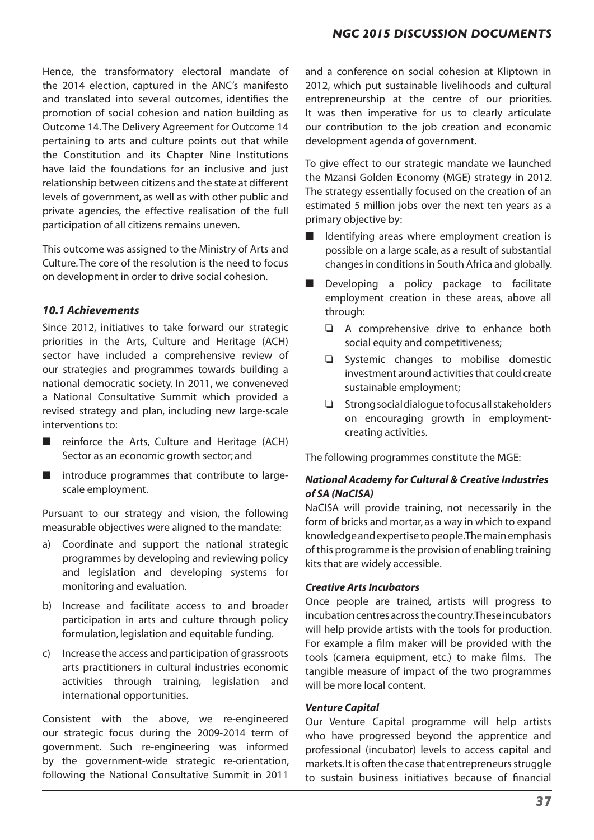Hence, the transformatory electoral mandate of the 2014 election, captured in the ANC's manifesto and translated into several outcomes, identifies the promotion of social cohesion and nation building as Outcome 14.The Delivery Agreement for Outcome 14 pertaining to arts and culture points out that while the Constitution and its Chapter Nine Institutions have laid the foundations for an inclusive and just relationship between citizens and the state at different levels of government, as well as with other public and private agencies, the effective realisation of the full participation of all citizens remains uneven.

This outcome was assigned to the Ministry of Arts and Culture.The core of the resolution is the need to focus on development in order to drive social cohesion.

# *10.1 Achievements*

Since 2012, initiatives to take forward our strategic priorities in the Arts, Culture and Heritage (ACH) sector have included a comprehensive review of our strategies and programmes towards building a national democratic society. In 2011, we conveneved a National Consultative Summit which provided a revised strategy and plan, including new large-scale interventions to:

- reinforce the Arts, Culture and Heritage (ACH) Sector as an economic growth sector; and
- introduce programmes that contribute to largescale employment.

Pursuant to our strategy and vision, the following measurable objectives were aligned to the mandate:

- a) Coordinate and support the national strategic programmes by developing and reviewing policy and legislation and developing systems for monitoring and evaluation.
- b) Increase and facilitate access to and broader participation in arts and culture through policy formulation, legislation and equitable funding.
- c) Increase the access and participation of grassroots arts practitioners in cultural industries economic activities through training, legislation and international opportunities.

Consistent with the above, we re-engineered our strategic focus during the 2009-2014 term of government. Such re-engineering was informed by the government-wide strategic re-orientation, following the National Consultative Summit in 2011

and a conference on social cohesion at Kliptown in 2012, which put sustainable livelihoods and cultural entrepreneurship at the centre of our priorities. It was then imperative for us to clearly articulate our contribution to the job creation and economic development agenda of government.

To give effect to our strategic mandate we launched the Mzansi Golden Economy (MGE) strategy in 2012. The strategy essentially focused on the creation of an estimated 5 million jobs over the next ten years as a primary objective by:

- Identifying areas where employment creation is possible on a large scale, as a result of substantial changes in conditions in South Africa and globally.
- Developing a policy package to facilitate employment creation in these areas, above all through:
	- $\Box$  A comprehensive drive to enhance both social equity and competitiveness;
	- $\Box$  Systemic changes to mobilise domestic investment around activities that could create sustainable employment;
	- $\Box$  Strong social dialogue to focus all stakeholders on encouraging growth in employmentcreating activities.

The following programmes constitute the MGE:

# *National Academy for Cultural & Creative Industries of SA (NaCISA)*

NaCISA will provide training, not necessarily in the form of bricks and mortar, as a way in which to expand knowledgeandexpertisetopeople.Themainemphasis of this programme isthe provision of enabling training kits that are widely accessible.

## *Creative Arts Incubators*

Once people are trained, artists will progress to incubation centres across the country. These incubators will help provide artists with the tools for production. For example a film maker will be provided with the tools (camera equipment, etc.) to make films. The tangible measure of impact of the two programmes will be more local content.

#### *Venture Capital*

Our Venture Capital programme will help artists who have progressed beyond the apprentice and professional (incubator) levels to access capital and markets. It is often the case that entrepreneurs struggle to sustain business initiatives because of financial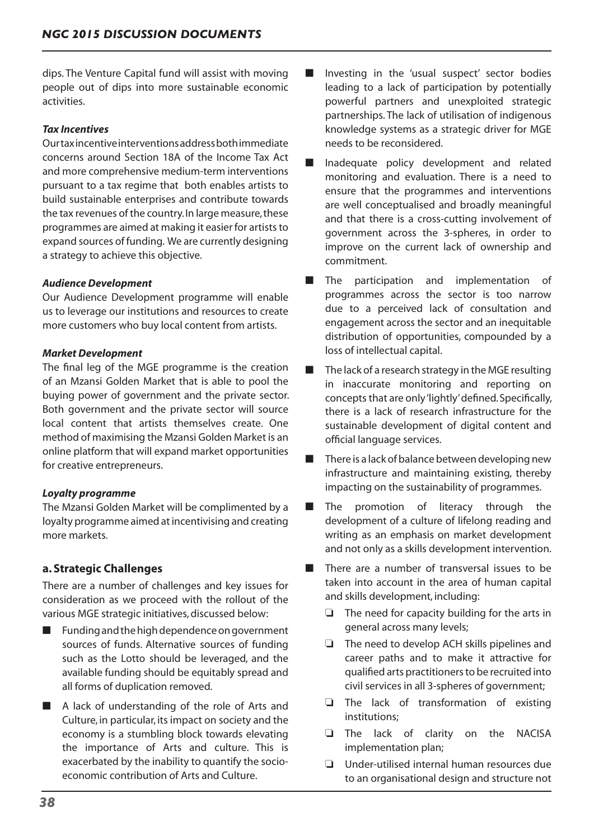dips. The Venture Capital fund will assist with moving people out of dips into more sustainable economic activities.

## *Tax Incentives*

Ourtaxincentiveinterventionsaddressbothimmediate concerns around Section 18A of the Income Tax Act and more comprehensive medium-term interventions pursuant to a tax regime that both enables artists to build sustainable enterprises and contribute towards the tax revenues of the country.In large measure,these programmes are aimed at making it easier for artists to expand sources of funding. We are currently designing a strategy to achieve this objective.

## *Audience Development*

Our Audience Development programme will enable us to leverage our institutions and resources to create more customers who buy local content from artists.

## *Market Development*

The final leg of the MGE programme is the creation of an Mzansi Golden Market that is able to pool the buying power of government and the private sector. Both government and the private sector will source local content that artists themselves create. One method of maximising the Mzansi Golden Market is an online platform that will expand market opportunities for creative entrepreneurs.

## *Loyalty programme*

The Mzansi Golden Market will be complimented by a loyalty programme aimed at incentivising and creating more markets.

# **a. Strategic Challenges**

There are a number of challenges and key issues for consideration as we proceed with the rollout of the various MGE strategic initiatives, discussed below:

- Funding and the high dependence on government sources of funds. Alternative sources of funding such as the Lotto should be leveraged, and the available funding should be equitably spread and all forms of duplication removed.
- A lack of understanding of the role of Arts and Culture, in particular, its impact on society and the economy is a stumbling block towards elevating the importance of Arts and culture. This is exacerbated by the inability to quantify the socioeconomic contribution of Arts and Culture.
- Investing in the 'usual suspect' sector bodies leading to a lack of participation by potentially powerful partners and unexploited strategic partnerships. The lack of utilisation of indigenous knowledge systems as a strategic driver for MGE needs to be reconsidered.
- Inadequate policy development and related monitoring and evaluation. There is a need to ensure that the programmes and interventions are well conceptualised and broadly meaningful and that there is a cross-cutting involvement of government across the 3-spheres, in order to improve on the current lack of ownership and commitment.
- The participation and implementation of programmes across the sector is too narrow due to a perceived lack of consultation and engagement across the sector and an inequitable distribution of opportunities, compounded by a loss of intellectual capital.
- The lack of a research strategy in the MGE resulting in inaccurate monitoring and reporting on concepts that are only 'lightly' defined. Specifically, there is a lack of research infrastructure for the sustainable development of digital content and official language services.
- There is a lack of balance between developing new infrastructure and maintaining existing, thereby impacting on the sustainability of programmes.
- The promotion of literacy through the development of a culture of lifelong reading and writing as an emphasis on market development and not only as a skills development intervention.
- There are a number of transversal issues to be taken into account in the area of human capital and skills development, including:
	- $\Box$  The need for capacity building for the arts in general across many levels;
	- $\Box$  The need to develop ACH skills pipelines and career paths and to make it attractive for qualified arts practitionersto be recruited into civil services in all 3-spheres of government;
	- $\Box$  The lack of transformation of existing institutions;
	- $\Box$  The lack of clarity on the NACISA implementation plan;
	- $\Box$  Under-utilised internal human resources due to an organisational design and structure not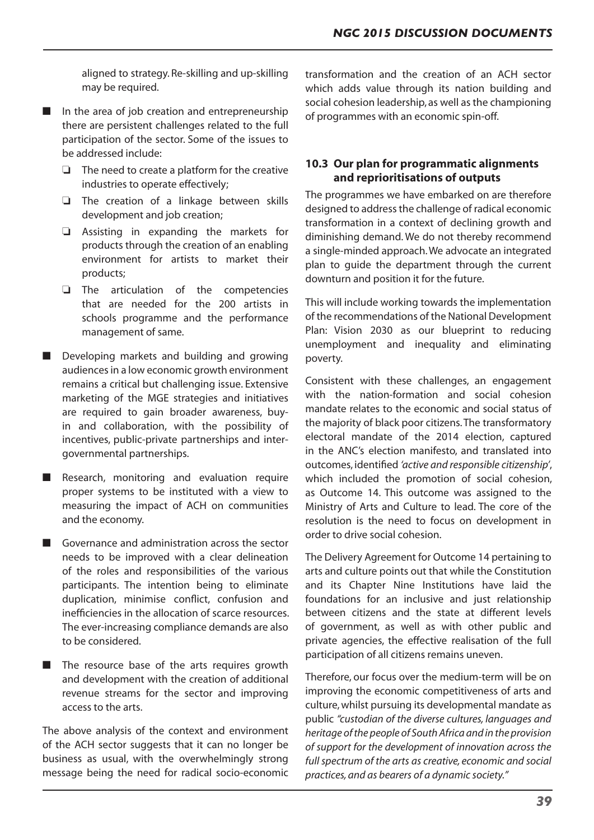aligned to strategy. Re-skilling and up-skilling may be required.

- In the area of job creation and entrepreneurship there are persistent challenges related to the full participation of the sector. Some of the issues to be addressed include:
	- $\Box$  The need to create a platform for the creative industries to operate effectively;
	- $\Box$  The creation of a linkage between skills development and job creation;
	- $\Box$  Assisting in expanding the markets for products through the creation of an enabling environment for artists to market their products;
	- $\Box$  The articulation of the competencies that are needed for the 200 artists in schools programme and the performance management of same.
- Developing markets and building and growing audiences in a low economic growth environment remains a critical but challenging issue. Extensive marketing of the MGE strategies and initiatives are required to gain broader awareness, buyin and collaboration, with the possibility of incentives, public-private partnerships and intergovernmental partnerships.
- Research, monitoring and evaluation require proper systems to be instituted with a view to measuring the impact of ACH on communities and the economy.
- Governance and administration across the sector needs to be improved with a clear delineation of the roles and responsibilities of the various participants. The intention being to eliminate duplication, minimise conflict, confusion and inefficiencies in the allocation of scarce resources. The ever-increasing compliance demands are also to be considered.
- The resource base of the arts requires growth and development with the creation of additional revenue streams for the sector and improving access to the arts.

The above analysis of the context and environment of the ACH sector suggests that it can no longer be business as usual, with the overwhelmingly strong message being the need for radical socio-economic transformation and the creation of an ACH sector which adds value through its nation building and social cohesion leadership, as well as the championing of programmes with an economic spin-off.

# **10.3 Our plan for programmatic alignments and reprioritisations of outputs**

The programmes we have embarked on are therefore designed to addressthe challenge of radical economic transformation in a context of declining growth and diminishing demand. We do not thereby recommend a single-minded approach.We advocate an integrated plan to guide the department through the current downturn and position it for the future.

This will include working towards the implementation of the recommendations of the National Development Plan: Vision 2030 as our blueprint to reducing unemployment and inequality and eliminating poverty.

Consistent with these challenges, an engagement with the nation-formation and social cohesion mandate relates to the economic and social status of the majority of black poor citizens.The transformatory electoral mandate of the 2014 election, captured in the ANC's election manifesto, and translated into outcomes, identified *'active and responsible citizenship'*, which included the promotion of social cohesion, as Outcome 14. This outcome was assigned to the Ministry of Arts and Culture to lead. The core of the resolution is the need to focus on development in order to drive social cohesion.

The Delivery Agreement for Outcome 14 pertaining to arts and culture points out that while the Constitution and its Chapter Nine Institutions have laid the foundations for an inclusive and just relationship between citizens and the state at different levels of government, as well as with other public and private agencies, the effective realisation of the full participation of all citizens remains uneven.

Therefore, our focus over the medium-term will be on improving the economic competitiveness of arts and culture,whilst pursuing its developmental mandate as public *"custodian of the diverse cultures, languages and heritage of the people of South Africa and in the provision of support for the development of innovation across the full spectrum of the arts as creative, economic and social practices, and as bearers of a dynamic society."*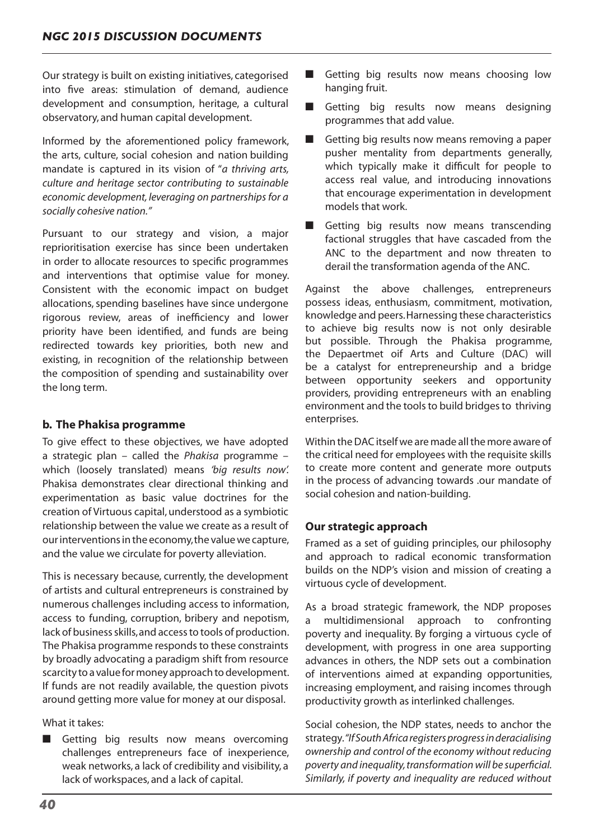Our strategy is built on existing initiatives, categorised into five areas: stimulation of demand, audience development and consumption, heritage, a cultural observatory, and human capital development.

Informed by the aforementioned policy framework, the arts, culture, social cohesion and nation building mandate is captured in its vision of "*a thriving arts, culture and heritage sector contributing to sustainable economic development, leveraging on partnerships for a socially cohesive nation."*

Pursuant to our strategy and vision, a major reprioritisation exercise has since been undertaken in order to allocate resources to specific programmes and interventions that optimise value for money. Consistent with the economic impact on budget allocations, spending baselines have since undergone rigorous review, areas of inefficiency and lower priority have been identified, and funds are being redirected towards key priorities, both new and existing, in recognition of the relationship between the composition of spending and sustainability over the long term.

# **b. The Phakisa programme**

To give effect to these objectives, we have adopted a strategic plan – called the *Phakisa* programme – which (loosely translated) means *'big results now'.*  Phakisa demonstrates clear directional thinking and experimentation as basic value doctrines for the creation of Virtuous capital,understood as a symbiotic relationship between the value we create as a result of our interventions in the economy, the value we capture, and the value we circulate for poverty alleviation.

This is necessary because, currently, the development of artists and cultural entrepreneurs is constrained by numerous challenges including access to information, access to funding, corruption, bribery and nepotism, lack of business skills, and access to tools of production. The Phakisa programme responds to these constraints by broadly advocating a paradigm shift from resource scarcity to a value for money approach to development. If funds are not readily available, the question pivots around getting more value for money at our disposal.

What it takes:

■ Getting big results now means overcoming challenges entrepreneurs face of inexperience, weak networks, a lack of credibility and visibility, a lack of workspaces, and a lack of capital.

- Getting big results now means choosing low hanging fruit.
- Getting big results now means designing programmes that add value.
- Getting big results now means removing a paper pusher mentality from departments generally, which typically make it difficult for people to access real value, and introducing innovations that encourage experimentation in development models that work.
- Getting big results now means transcending factional struggles that have cascaded from the ANC to the department and now threaten to derail the transformation agenda of the ANC.

Against the above challenges, entrepreneurs possess ideas, enthusiasm, commitment, motivation, knowledge and peers.Harnessing these characteristics to achieve big results now is not only desirable but possible. Through the Phakisa programme, the Depaertmet oif Arts and Culture (DAC) will be a catalyst for entrepreneurship and a bridge between opportunity seekers and opportunity providers, providing entrepreneurs with an enabling environment and the tools to build bridges to thriving enterprises.

Within the DAC itself we are made all the more aware of the critical need for employees with the requisite skills to create more content and generate more outputs in the process of advancing towards .our mandate of social cohesion and nation-building.

# **Our strategic approach**

Framed as a set of guiding principles, our philosophy and approach to radical economic transformation builds on the NDP's vision and mission of creating a virtuous cycle of development.

As a broad strategic framework, the NDP proposes a multidimensional approach to confronting poverty and inequality. By forging a virtuous cycle of development, with progress in one area supporting advances in others, the NDP sets out a combination of interventions aimed at expanding opportunities, increasing employment, and raising incomes through productivity growth as interlinked challenges.

Social cohesion, the NDP states, needs to anchor the strategy.*"If South Africa registers progress in deracialising ownership and control of the economy without reducing poverty and inequality, transformation will be superficial. Similarly, if poverty and inequality are reduced without*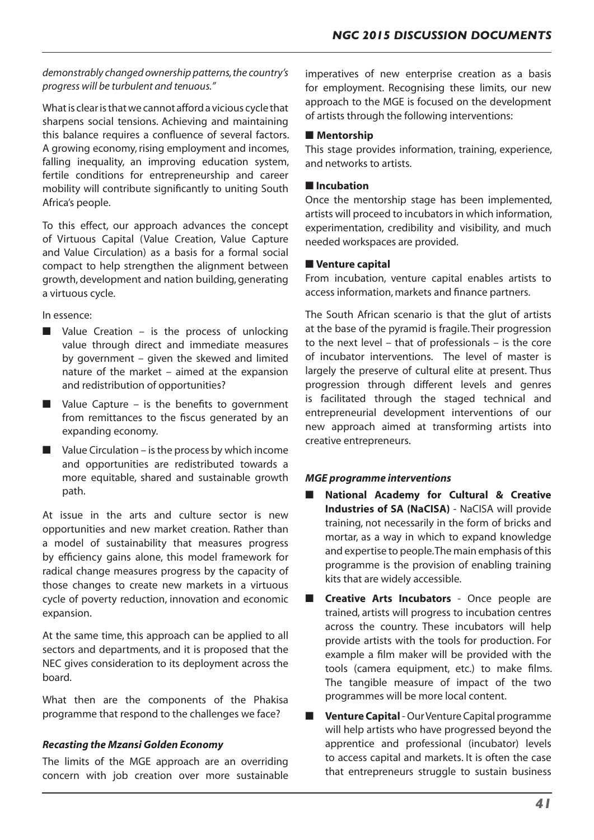## *demonstrably changed ownership patterns, the country's progress will be turbulent and tenuous."*

What is clear is that we cannot afford a vicious cycle that sharpens social tensions. Achieving and maintaining this balance requires a confluence of several factors. A growing economy, rising employment and incomes, falling inequality, an improving education system, fertile conditions for entrepreneurship and career mobility will contribute significantly to uniting South Africa's people.

To this effect, our approach advances the concept of Virtuous Capital (Value Creation, Value Capture and Value Circulation) as a basis for a formal social compact to help strengthen the alignment between growth, development and nation building, generating a virtuous cycle.

In essence:

- $\blacksquare$  Value Creation is the process of unlocking value through direct and immediate measures by government – given the skewed and limited nature of the market – aimed at the expansion and redistribution of opportunities?
- $\blacksquare$  Value Capture is the benefits to government from remittances to the fiscus generated by an expanding economy.
- $\blacksquare$  Value Circulation is the process by which income and opportunities are redistributed towards a more equitable, shared and sustainable growth path.

At issue in the arts and culture sector is new opportunities and new market creation. Rather than a model of sustainability that measures progress by efficiency gains alone, this model framework for radical change measures progress by the capacity of those changes to create new markets in a virtuous cycle of poverty reduction, innovation and economic expansion.

At the same time, this approach can be applied to all sectors and departments, and it is proposed that the NEC gives consideration to its deployment across the board.

What then are the components of the Phakisa programme that respond to the challenges we face?

# *Recasting the Mzansi Golden Economy*

The limits of the MGE approach are an overriding concern with job creation over more sustainable

imperatives of new enterprise creation as a basis for employment. Recognising these limits, our new approach to the MGE is focused on the development of artists through the following interventions:

## ■ **Mentorship**

This stage provides information, training, experience, and networks to artists.

## ■ **Incubation**

Once the mentorship stage has been implemented, artists will proceed to incubators in which information, experimentation, credibility and visibility, and much needed workspaces are provided.

## ■ **Venture capital**

From incubation, venture capital enables artists to access information, markets and finance partners.

The South African scenario is that the glut of artists at the base of the pyramid is fragile. Their progression to the next level – that of professionals – is the core of incubator interventions. The level of master is largely the preserve of cultural elite at present. Thus progression through different levels and genres is facilitated through the staged technical and entrepreneurial development interventions of our new approach aimed at transforming artists into creative entrepreneurs.

# *MGE programme interventions*

- **National Academy for Cultural & Creative Industries of SA (NaCISA)** - NaCISA will provide training, not necessarily in the form of bricks and mortar, as a way in which to expand knowledge and expertise to people.The main emphasis ofthis programme is the provision of enabling training kits that are widely accessible.
- **Creative Arts Incubators Once people are** trained, artists will progress to incubation centres across the country. These incubators will help provide artists with the tools for production. For example a film maker will be provided with the tools (camera equipment, etc.) to make films. The tangible measure of impact of the two programmes will be more local content.
- **Venture Capital** Our Venture Capital programme will help artists who have progressed beyond the apprentice and professional (incubator) levels to access capital and markets. It is often the case that entrepreneurs struggle to sustain business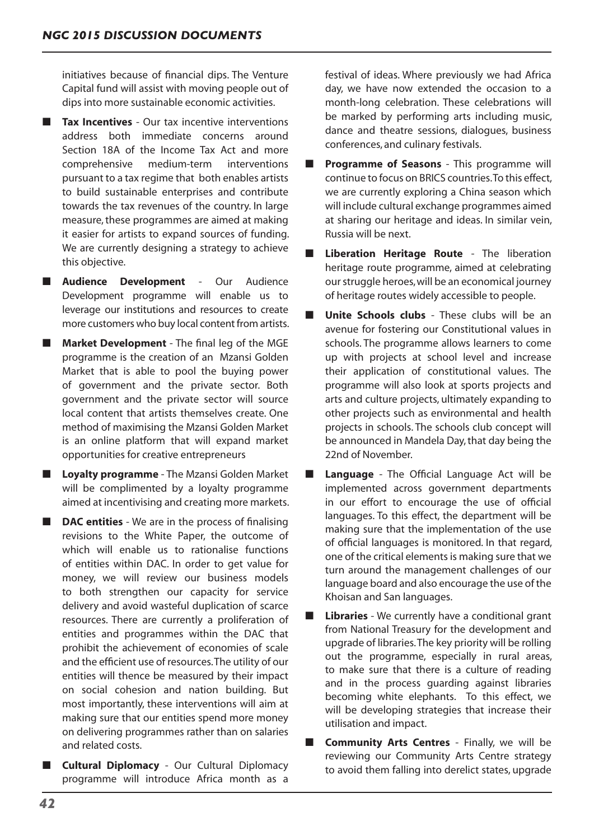initiatives because of financial dips. The Venture Capital fund will assist with moving people out of dips into more sustainable economic activities.

- **Tax Incentives** Our tax incentive interventions address both immediate concerns around Section 18A of the Income Tax Act and more comprehensive medium-term interventions pursuant to a tax regime that both enables artists to build sustainable enterprises and contribute towards the tax revenues of the country. In large measure, these programmes are aimed at making it easier for artists to expand sources of funding. We are currently designing a strategy to achieve this objective.
- **Audience Development** Our Audience Development programme will enable us to leverage our institutions and resources to create more customers who buy local content from artists.
- **Market Development** The final leg of the MGE programme is the creation of an Mzansi Golden Market that is able to pool the buying power of government and the private sector. Both government and the private sector will source local content that artists themselves create. One method of maximising the Mzansi Golden Market is an online platform that will expand market opportunities for creative entrepreneurs
- **Loyalty programme** The Mzansi Golden Market will be complimented by a loyalty programme aimed at incentivising and creating more markets.
- **DAC entities** We are in the process of finalising revisions to the White Paper, the outcome of which will enable us to rationalise functions of entities within DAC. In order to get value for money, we will review our business models to both strengthen our capacity for service delivery and avoid wasteful duplication of scarce resources. There are currently a proliferation of entities and programmes within the DAC that prohibit the achievement of economies of scale and the efficient use of resources.The utility of our entities will thence be measured by their impact on social cohesion and nation building. But most importantly, these interventions will aim at making sure that our entities spend more money on delivering programmes rather than on salaries and related costs.
- **Cultural Diplomacy** Our Cultural Diplomacy programme will introduce Africa month as a

festival of ideas. Where previously we had Africa day, we have now extended the occasion to a month-long celebration. These celebrations will be marked by performing arts including music, dance and theatre sessions, dialogues, business conferences, and culinary festivals.

- **Programme of Seasons** This programme will continue to focus on BRICS countries.To this effect, we are currently exploring a China season which will include cultural exchange programmes aimed at sharing our heritage and ideas. In similar vein, Russia will be next.
- **Liberation Heritage Route The liberation** heritage route programme, aimed at celebrating ourstruggle heroes,will be an economical journey of heritage routes widely accessible to people.
- **Unite Schools clubs** These clubs will be an avenue for fostering our Constitutional values in schools. The programme allows learners to come up with projects at school level and increase their application of constitutional values. The programme will also look at sports projects and arts and culture projects, ultimately expanding to other projects such as environmental and health projects in schools. The schools club concept will be announced in Mandela Day, that day being the 22nd of November.
- **Language** The Official Language Act will be implemented across government departments in our effort to encourage the use of official languages. To this effect, the department will be making sure that the implementation of the use of official languages is monitored. In that regard, one of the critical elements is making sure that we turn around the management challenges of our language board and also encourage the use of the Khoisan and San languages.
- **Libraries** We currently have a conditional grant from National Treasury for the development and upgrade of libraries.The key priority will be rolling out the programme, especially in rural areas, to make sure that there is a culture of reading and in the process guarding against libraries becoming white elephants. To this effect, we will be developing strategies that increase their utilisation and impact.
- **Community Arts Centres** Finally, we will be reviewing our Community Arts Centre strategy to avoid them falling into derelict states, upgrade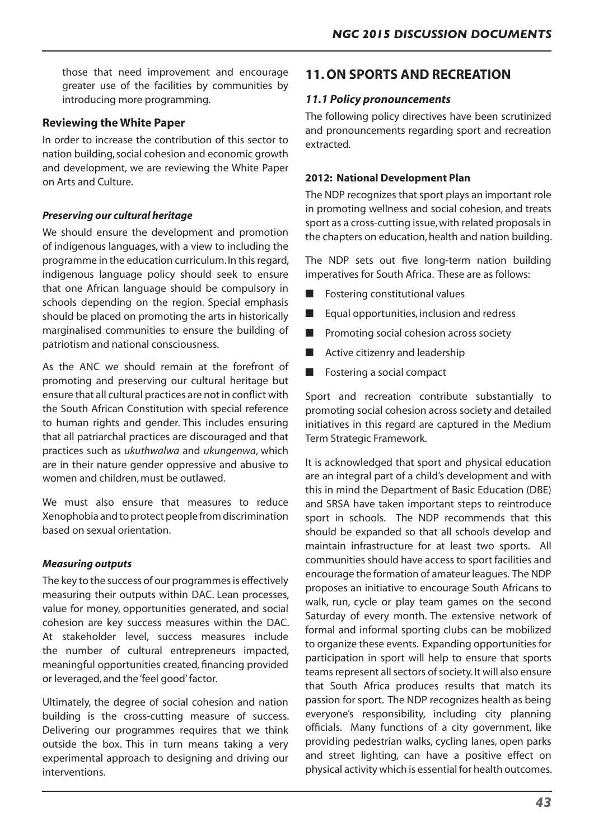those that need improvement and encourage greater use of the facilities by communities by introducing more programming.

# **Reviewing the White Paper**

In order to increase the contribution of this sector to nation building,social cohesion and economic growth and development, we are reviewing the White Paper on Arts and Culture.

# *Preserving our cultural heritage*

We should ensure the development and promotion of indigenous languages, with a view to including the programme in the education curriculum.In thisregard, indigenous language policy should seek to ensure that one African language should be compulsory in schools depending on the region. Special emphasis should be placed on promoting the arts in historically marginalised communities to ensure the building of patriotism and national consciousness.

As the ANC we should remain at the forefront of promoting and preserving our cultural heritage but ensure that all cultural practices are not in conflict with the South African Constitution with special reference to human rights and gender. This includes ensuring that all patriarchal practices are discouraged and that practices such as *ukuthwalwa* and *ukungenwa*, which are in their nature gender oppressive and abusive to women and children, must be outlawed.

We must also ensure that measures to reduce Xenophobia and to protect people from discrimination based on sexual orientation.

## *Measuring outputs*

The key to the success of our programmes is effectively measuring their outputs within DAC. Lean processes, value for money, opportunities generated, and social cohesion are key success measures within the DAC. At stakeholder level, success measures include the number of cultural entrepreneurs impacted, meaningful opportunities created, financing provided or leveraged, and the 'feel good'factor.

Ultimately, the degree of social cohesion and nation building is the cross-cutting measure of success. Delivering our programmes requires that we think outside the box. This in turn means taking a very experimental approach to designing and driving our interventions.

# **11. ON SPORTS AND RECREATION**

# *11.1 Policy pronouncements*

The following policy directives have been scrutinized and pronouncements regarding sport and recreation extracted.

## **2012: National Development Plan**

The NDP recognizes that sport plays an important role in promoting wellness and social cohesion, and treats sport as a cross-cutting issue, with related proposals in the chapters on education, health and nation building.

The NDP sets out five long-term nation building imperatives for South Africa. These are as follows:

- **Fostering constitutional values**
- Equal opportunities, inclusion and redress
- Promoting social cohesion across society
- Active citizenry and leadership
- Fostering a social compact

Sport and recreation contribute substantially to promoting social cohesion across society and detailed initiatives in this regard are captured in the Medium Term Strategic Framework.

It is acknowledged that sport and physical education are an integral part of a child's development and with this in mind the Department of Basic Education (DBE) and SRSA have taken important steps to reintroduce sport in schools. The NDP recommends that this should be expanded so that all schools develop and maintain infrastructure for at least two sports. All communities should have access to sport facilities and encourage the formation of amateur leagues. The NDP proposes an initiative to encourage South Africans to walk, run, cycle or play team games on the second Saturday of every month. The extensive network of formal and informal sporting clubs can be mobilized to organize these events. Expanding opportunities for participation in sport will help to ensure that sports teams represent all sectors of society. It will also ensure that South Africa produces results that match its passion for sport. The NDP recognizes health as being everyone's responsibility, including city planning officials. Many functions of a city government, like providing pedestrian walks, cycling lanes, open parks and street lighting, can have a positive effect on physical activity which is essential for health outcomes.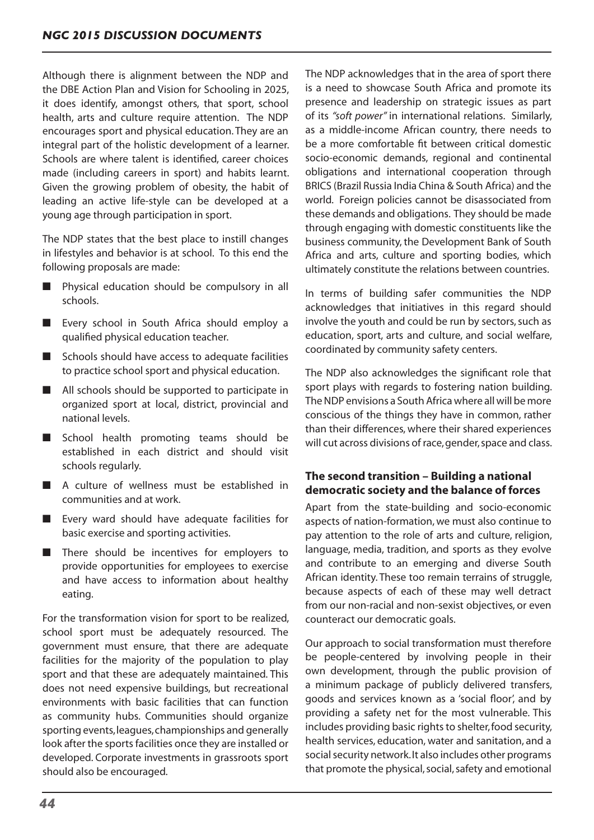Although there is alignment between the NDP and the DBE Action Plan and Vision for Schooling in 2025, it does identify, amongst others, that sport, school health, arts and culture require attention. The NDP encourages sport and physical education. They are an integral part of the holistic development of a learner. Schools are where talent is identified, career choices made (including careers in sport) and habits learnt. Given the growing problem of obesity, the habit of leading an active life-style can be developed at a young age through participation in sport.

The NDP states that the best place to instill changes in lifestyles and behavior is at school. To this end the following proposals are made:

- Physical education should be compulsory in all schools.
- Every school in South Africa should employ a qualified physical education teacher.
- Schools should have access to adequate facilities to practice school sport and physical education.
- All schools should be supported to participate in organized sport at local, district, provincial and national levels.
- School health promoting teams should be established in each district and should visit schools regularly.
- A culture of wellness must be established in communities and at work.
- Every ward should have adequate facilities for basic exercise and sporting activities.
- There should be incentives for employers to provide opportunities for employees to exercise and have access to information about healthy eating.

For the transformation vision for sport to be realized, school sport must be adequately resourced. The government must ensure, that there are adequate facilities for the majority of the population to play sport and that these are adequately maintained. This does not need expensive buildings, but recreational environments with basic facilities that can function as community hubs. Communities should organize sporting events,leagues,championships and generally look after the sports facilities once they are installed or developed. Corporate investments in grassroots sport should also be encouraged.

The NDP acknowledges that in the area of sport there is a need to showcase South Africa and promote its presence and leadership on strategic issues as part of its *"soft power"* in international relations. Similarly, as a middle-income African country, there needs to be a more comfortable fit between critical domestic socio-economic demands, regional and continental obligations and international cooperation through BRICS (Brazil Russia India China & South Africa) and the world. Foreign policies cannot be disassociated from these demands and obligations. They should be made through engaging with domestic constituents like the business community, the Development Bank of South Africa and arts, culture and sporting bodies, which ultimately constitute the relations between countries.

In terms of building safer communities the NDP acknowledges that initiatives in this regard should involve the youth and could be run by sectors, such as education, sport, arts and culture, and social welfare, coordinated by community safety centers.

The NDP also acknowledges the significant role that sport plays with regards to fostering nation building. The NDP envisions a South Africa where all will be more conscious of the things they have in common, rather than their differences, where their shared experiences will cut across divisions of race, gender, space and class.

# **The second transition – Building a national democratic society and the balance of forces**

Apart from the state-building and socio-economic aspects of nation-formation, we must also continue to pay attention to the role of arts and culture, religion, language, media, tradition, and sports as they evolve and contribute to an emerging and diverse South African identity. These too remain terrains of struggle, because aspects of each of these may well detract from our non-racial and non-sexist objectives, or even counteract our democratic goals.

Our approach to social transformation must therefore be people-centered by involving people in their own development, through the public provision of a minimum package of publicly delivered transfers, goods and services known as a 'social floor', and by providing a safety net for the most vulnerable. This includes providing basic rights to shelter, food security, health services, education, water and sanitation, and a social security network. It also includes other programs that promote the physical, social, safety and emotional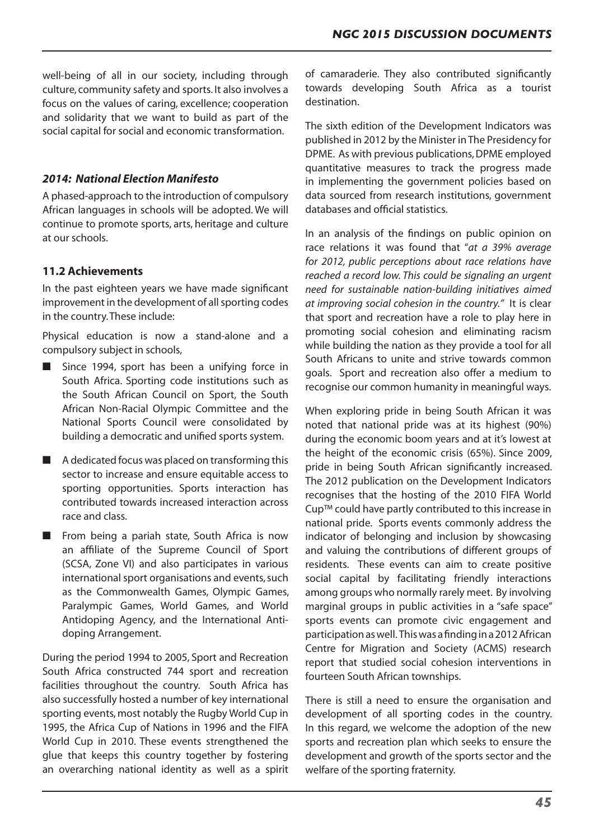well-being of all in our society, including through culture, community safety and sports. It also involves a focus on the values of caring, excellence; cooperation and solidarity that we want to build as part of the social capital for social and economic transformation.

# *2014: National Election Manifesto*

A phased-approach to the introduction of compulsory African languages in schools will be adopted. We will continue to promote sports, arts, heritage and culture at our schools.

# **11.2 Achievements**

In the past eighteen years we have made significant improvement in the development of all sporting codes in the country.These include:

Physical education is now a stand-alone and a compulsory subject in schools,

- Since 1994, sport has been a unifying force in South Africa. Sporting code institutions such as the South African Council on Sport, the South African Non-Racial Olympic Committee and the National Sports Council were consolidated by building a democratic and unified sports system.
- A dedicated focus was placed on transforming this sector to increase and ensure equitable access to sporting opportunities. Sports interaction has contributed towards increased interaction across race and class.
- From being a pariah state, South Africa is now an affiliate of the Supreme Council of Sport (SCSA, Zone VI) and also participates in various international sport organisations and events, such as the Commonwealth Games, Olympic Games, Paralympic Games, World Games, and World Antidoping Agency, and the International Antidoping Arrangement.

During the period 1994 to 2005, Sport and Recreation South Africa constructed 744 sport and recreation facilities throughout the country. South Africa has also successfully hosted a number of key international sporting events, most notably the Rugby World Cup in 1995, the Africa Cup of Nations in 1996 and the FIFA World Cup in 2010. These events strengthened the glue that keeps this country together by fostering an overarching national identity as well as a spirit of camaraderie. They also contributed significantly towards developing South Africa as a tourist destination.

The sixth edition of the Development Indicators was published in 2012 by the Minister in The Presidency for DPME. As with previous publications, DPME employed quantitative measures to track the progress made in implementing the government policies based on data sourced from research institutions, government databases and official statistics.

In an analysis of the findings on public opinion on race relations it was found that "*at a 39% average for 2012, public perceptions about race relations have reached a record low. This could be signaling an urgent need for sustainable nation-building initiatives aimed at improving social cohesion in the country."* It is clear that sport and recreation have a role to play here in promoting social cohesion and eliminating racism while building the nation as they provide a tool for all South Africans to unite and strive towards common goals. Sport and recreation also offer a medium to recognise our common humanity in meaningful ways.

When exploring pride in being South African it was noted that national pride was at its highest (90%) during the economic boom years and at it's lowest at the height of the economic crisis (65%). Since 2009, pride in being South African significantly increased. The 2012 publication on the Development Indicators recognises that the hosting of the 2010 FIFA World Cup™ could have partly contributed to this increase in national pride. Sports events commonly address the indicator of belonging and inclusion by showcasing and valuing the contributions of different groups of residents. These events can aim to create positive social capital by facilitating friendly interactions among groups who normally rarely meet. By involving marginal groups in public activities in a "safe space" sports events can promote civic engagement and participationaswell. Thiswas afindingina2012African Centre for Migration and Society (ACMS) research report that studied social cohesion interventions in fourteen South African townships.

There is still a need to ensure the organisation and development of all sporting codes in the country. In this regard, we welcome the adoption of the new sports and recreation plan which seeks to ensure the development and growth of the sports sector and the welfare of the sporting fraternity.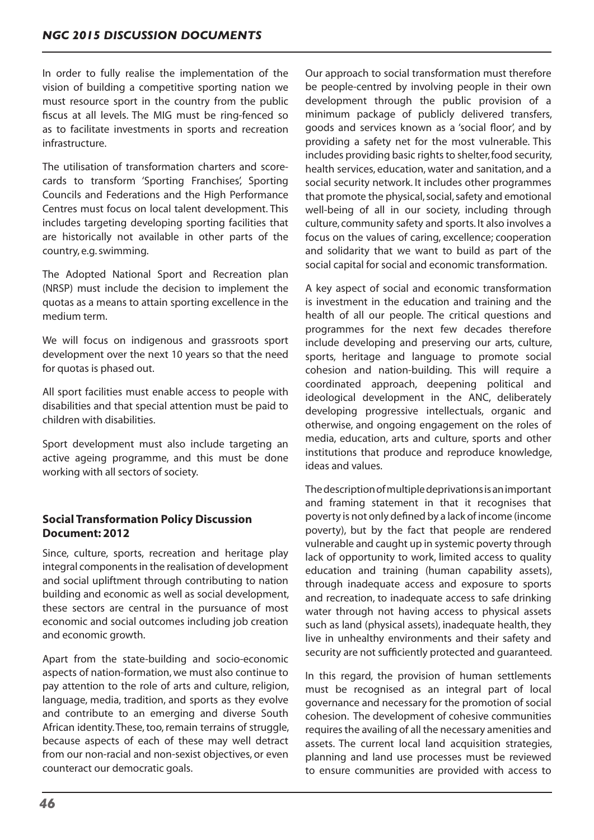In order to fully realise the implementation of the vision of building a competitive sporting nation we must resource sport in the country from the public fiscus at all levels. The MIG must be ring-fenced so as to facilitate investments in sports and recreation infrastructure.

The utilisation of transformation charters and scorecards to transform 'Sporting Franchises', Sporting Councils and Federations and the High Performance Centres must focus on local talent development. This includes targeting developing sporting facilities that are historically not available in other parts of the country, e.g.swimming.

The Adopted National Sport and Recreation plan (NRSP) must include the decision to implement the quotas as a means to attain sporting excellence in the medium term.

We will focus on indigenous and grassroots sport development over the next 10 years so that the need for quotas is phased out.

All sport facilities must enable access to people with disabilities and that special attention must be paid to children with disabilities.

Sport development must also include targeting an active ageing programme, and this must be done working with all sectors of society.

# **Social Transformation Policy Discussion Document: 2012**

Since, culture, sports, recreation and heritage play integral components in the realisation of development and social upliftment through contributing to nation building and economic as well as social development, these sectors are central in the pursuance of most economic and social outcomes including job creation and economic growth.

Apart from the state-building and socio-economic aspects of nation-formation, we must also continue to pay attention to the role of arts and culture, religion, language, media, tradition, and sports as they evolve and contribute to an emerging and diverse South African identity. These, too, remain terrains of struggle, because aspects of each of these may well detract from our non-racial and non-sexist objectives, or even counteract our democratic goals.

Our approach to social transformation must therefore be people-centred by involving people in their own development through the public provision of a minimum package of publicly delivered transfers, goods and services known as a 'social floor', and by providing a safety net for the most vulnerable. This includes providing basic rights to shelter, food security, health services, education, water and sanitation, and a social security network. It includes other programmes that promote the physical, social, safety and emotional well-being of all in our society, including through culture, community safety and sports. It also involves a focus on the values of caring, excellence; cooperation and solidarity that we want to build as part of the social capital for social and economic transformation.

A key aspect of social and economic transformation is investment in the education and training and the health of all our people. The critical questions and programmes for the next few decades therefore include developing and preserving our arts, culture, sports, heritage and language to promote social cohesion and nation-building. This will require a coordinated approach, deepening political and ideological development in the ANC, deliberately developing progressive intellectuals, organic and otherwise, and ongoing engagement on the roles of media, education, arts and culture, sports and other institutions that produce and reproduce knowledge, ideas and values.

Thedescriptionofmultipledeprivationsisanimportant and framing statement in that it recognises that poverty is not only defined by a lack of income (income poverty), but by the fact that people are rendered vulnerable and caught up in systemic poverty through lack of opportunity to work, limited access to quality education and training (human capability assets), through inadequate access and exposure to sports and recreation, to inadequate access to safe drinking water through not having access to physical assets such as land (physical assets), inadequate health, they live in unhealthy environments and their safety and security are not sufficiently protected and guaranteed.

In this regard, the provision of human settlements must be recognised as an integral part of local governance and necessary for the promotion of social cohesion. The development of cohesive communities requires the availing of all the necessary amenities and assets. The current local land acquisition strategies, planning and land use processes must be reviewed to ensure communities are provided with access to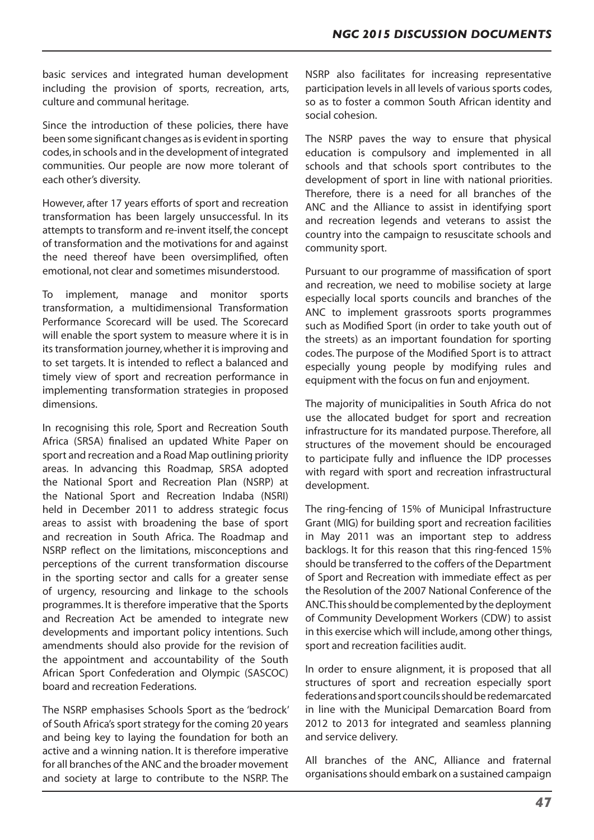basic services and integrated human development including the provision of sports, recreation, arts, culture and communal heritage.

Since the introduction of these policies, there have been some significant changes as is evident in sporting codes,in schools and in the development of integrated communities. Our people are now more tolerant of each other's diversity.

However, after 17 years efforts of sport and recreation transformation has been largely unsuccessful. In its attempts to transform and re-invent itself, the concept of transformation and the motivations for and against the need thereof have been oversimplified, often emotional, not clear and sometimes misunderstood.

To implement, manage and monitor sports transformation, a multidimensional Transformation Performance Scorecard will be used. The Scorecard will enable the sport system to measure where it is in its transformation journey, whether it is improving and to set targets. It is intended to reflect a balanced and timely view of sport and recreation performance in implementing transformation strategies in proposed dimensions.

In recognising this role, Sport and Recreation South Africa (SRSA) finalised an updated White Paper on sport and recreation and a Road Map outlining priority areas. In advancing this Roadmap, SRSA adopted the National Sport and Recreation Plan (NSRP) at the National Sport and Recreation Indaba (NSRI) held in December 2011 to address strategic focus areas to assist with broadening the base of sport and recreation in South Africa. The Roadmap and NSRP reflect on the limitations, misconceptions and perceptions of the current transformation discourse in the sporting sector and calls for a greater sense of urgency, resourcing and linkage to the schools programmes. It is therefore imperative that the Sports and Recreation Act be amended to integrate new developments and important policy intentions. Such amendments should also provide for the revision of the appointment and accountability of the South African Sport Confederation and Olympic (SASCOC) board and recreation Federations.

The NSRP emphasises Schools Sport as the 'bedrock' of South Africa's sport strategy for the coming 20 years and being key to laying the foundation for both an active and a winning nation. It is therefore imperative for all branches of the ANC and the broader movement and society at large to contribute to the NSRP. The

NSRP also facilitates for increasing representative participation levels in all levels of various sports codes, so as to foster a common South African identity and social cohesion.

The NSRP paves the way to ensure that physical education is compulsory and implemented in all schools and that schools sport contributes to the development of sport in line with national priorities. Therefore, there is a need for all branches of the ANC and the Alliance to assist in identifying sport and recreation legends and veterans to assist the country into the campaign to resuscitate schools and community sport.

Pursuant to our programme of massification of sport and recreation, we need to mobilise society at large especially local sports councils and branches of the ANC to implement grassroots sports programmes such as Modified Sport (in order to take youth out of the streets) as an important foundation for sporting codes. The purpose of the Modified Sport is to attract especially young people by modifying rules and equipment with the focus on fun and enjoyment.

The majority of municipalities in South Africa do not use the allocated budget for sport and recreation infrastructure for its mandated purpose. Therefore, all structures of the movement should be encouraged to participate fully and influence the IDP processes with regard with sport and recreation infrastructural development.

The ring-fencing of 15% of Municipal Infrastructure Grant (MIG) for building sport and recreation facilities in May 2011 was an important step to address backlogs. It for this reason that this ring-fenced 15% should be transferred to the coffers of the Department of Sport and Recreation with immediate effect as per the Resolution of the 2007 National Conference of the ANC. This should be complemented by the deployment of Community Development Workers (CDW) to assist in this exercise which will include, among other things, sport and recreation facilities audit.

In order to ensure alignment, it is proposed that all structures of sport and recreation especially sport federations and sport councils should be redemarcated in line with the Municipal Demarcation Board from 2012 to 2013 for integrated and seamless planning and service delivery.

All branches of the ANC, Alliance and fraternal organisationsshould embark on a sustained campaign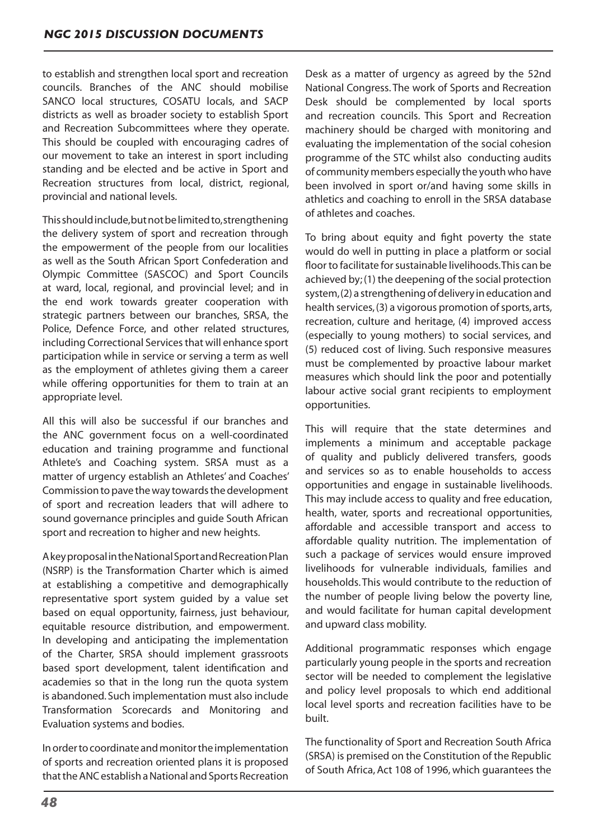to establish and strengthen local sport and recreation councils. Branches of the ANC should mobilise SANCO local structures, COSATU locals, and SACP districts as well as broader society to establish Sport and Recreation Subcommittees where they operate. This should be coupled with encouraging cadres of our movement to take an interest in sport including standing and be elected and be active in Sport and Recreation structures from local, district, regional, provincial and national levels.

Thisshouldinclude,butnotbelimitedto,strengthening the delivery system of sport and recreation through the empowerment of the people from our localities as well as the South African Sport Confederation and Olympic Committee (SASCOC) and Sport Councils at ward, local, regional, and provincial level; and in the end work towards greater cooperation with strategic partners between our branches, SRSA, the Police, Defence Force, and other related structures, including Correctional Services that will enhance sport participation while in service or serving a term as well as the employment of athletes giving them a career while offering opportunities for them to train at an appropriate level.

All this will also be successful if our branches and the ANC government focus on a well-coordinated education and training programme and functional Athlete's and Coaching system. SRSA must as a matter of urgency establish an Athletes' and Coaches' Commission to pave the way towards the development of sport and recreation leaders that will adhere to sound governance principles and guide South African sport and recreation to higher and new heights.

AkeyproposalintheNationalSportandRecreationPlan (NSRP) is the Transformation Charter which is aimed at establishing a competitive and demographically representative sport system guided by a value set based on equal opportunity, fairness, just behaviour, equitable resource distribution, and empowerment. In developing and anticipating the implementation of the Charter, SRSA should implement grassroots based sport development, talent identification and academies so that in the long run the quota system is abandoned. Such implementation must also include Transformation Scorecards and Monitoring and Evaluation systems and bodies.

Inordertocoordinateandmonitortheimplementation of sports and recreation oriented plans it is proposed that the ANC establish a National and Sports Recreation

Desk as a matter of urgency as agreed by the 52nd National Congress. The work of Sports and Recreation Desk should be complemented by local sports and recreation councils. This Sport and Recreation machinery should be charged with monitoring and evaluating the implementation of the social cohesion programme of the STC whilst also conducting audits of community members especially the youth who have been involved in sport or/and having some skills in athletics and coaching to enroll in the SRSA database of athletes and coaches.

To bring about equity and fight poverty the state would do well in putting in place a platform or social floor to facilitate for sustainable livelihoods. This can be achieved by;(1) the deepening of the social protection system, (2) a strengthening of delivery in education and health services, (3) a vigorous promotion of sports, arts, recreation, culture and heritage, (4) improved access (especially to young mothers) to social services, and (5) reduced cost of living. Such responsive measures must be complemented by proactive labour market measures which should link the poor and potentially labour active social grant recipients to employment opportunities.

This will require that the state determines and implements a minimum and acceptable package of quality and publicly delivered transfers, goods and services so as to enable households to access opportunities and engage in sustainable livelihoods. This may include access to quality and free education, health, water, sports and recreational opportunities, affordable and accessible transport and access to affordable quality nutrition. The implementation of such a package of services would ensure improved livelihoods for vulnerable individuals, families and households.This would contribute to the reduction of the number of people living below the poverty line, and would facilitate for human capital development and upward class mobility.

Additional programmatic responses which engage particularly young people in the sports and recreation sector will be needed to complement the legislative and policy level proposals to which end additional local level sports and recreation facilities have to be built.

The functionality of Sport and Recreation South Africa (SRSA) is premised on the Constitution of the Republic of South Africa, Act 108 of 1996, which guarantees the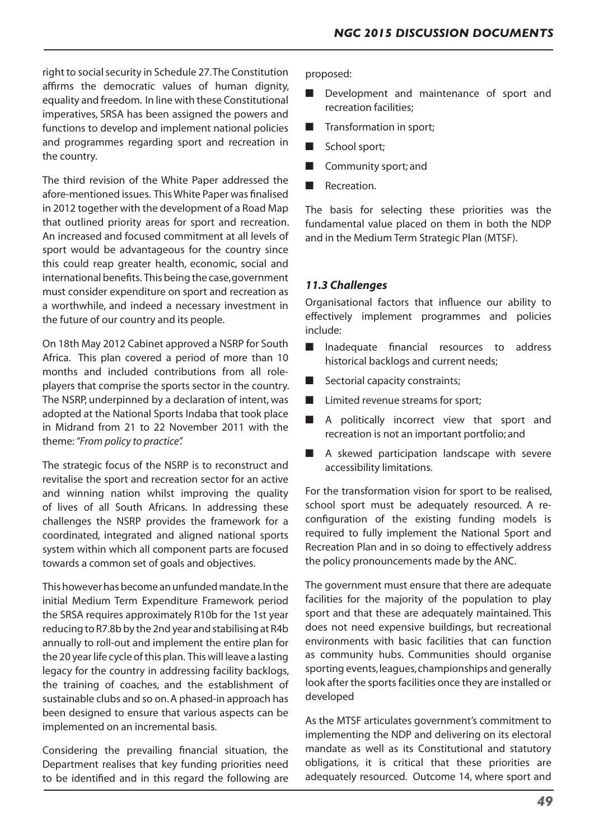right to social security in Schedule 27. The Constitution affirms the democratic values of human dignity, equality and freedom. In line with these Constitutional imperatives, SRSA has been assigned the powers and functions to develop and implement national policies and programmes regarding sport and recreation in the country.

The third revision of the White Paper addressed the afore-mentioned issues. ThisWhite Paper was finalised in 2012 together with the development of a Road Map that outlined priority areas for sport and recreation. An increased and focused commitment at all levels of sport would be advantageous for the country since this could reap greater health, economic, social and international benefits. This being the case, government must consider expenditure on sport and recreation as a worthwhile, and indeed a necessary investment in the future of our country and its people.

On 18th May 2012 Cabinet approved a NSRP for South Africa. This plan covered a period of more than 10 months and included contributions from all roleplayers that comprise the sports sector in the country. The NSRP, underpinned by a declaration of intent, was adopted at the National Sports Indaba that took place in Midrand from 21 to 22 November 2011 with the theme:*"From policy to practice".*

The strategic focus of the NSRP is to reconstruct and revitalise the sport and recreation sector for an active and winning nation whilst improving the quality of lives of all South Africans. In addressing these challenges the NSRP provides the framework for a coordinated, integrated and aligned national sports system within which all component parts are focused towards a common set of goals and objectives.

This however has become an unfunded mandate. In the initial Medium Term Expenditure Framework period the SRSA requires approximately R10b for the 1st year reducing to R7.8b by the 2nd year and stabilising at R4b annually to roll-out and implement the entire plan for the 20 year life cycle of this plan. This will leave a lasting legacy for the country in addressing facility backlogs, the training of coaches, and the establishment of sustainable clubs and so on.A phased-in approach has been designed to ensure that various aspects can be implemented on an incremental basis.

Considering the prevailing financial situation, the Department realises that key funding priorities need to be identified and in this regard the following are

proposed:

- Development and maintenance of sport and recreation facilities;
- Transformation in sport;
- School sport;
- Community sport; and
- Recreation.

The basis for selecting these priorities was the fundamental value placed on them in both the NDP and in the Medium Term Strategic Plan (MTSF).

# *11.3 Challenges*

Organisational factors that influence our ability to effectively implement programmes and policies include:

- Inadequate financial resources to address historical backlogs and current needs;
- Sectorial capacity constraints;
- Limited revenue streams for sport;
- A politically incorrect view that sport and recreation is not an important portfolio; and
- A skewed participation landscape with severe accessibility limitations.

For the transformation vision for sport to be realised, school sport must be adequately resourced. A reconfiguration of the existing funding models is required to fully implement the National Sport and Recreation Plan and in so doing to effectively address the policy pronouncements made by the ANC.

The government must ensure that there are adequate facilities for the majority of the population to play sport and that these are adequately maintained. This does not need expensive buildings, but recreational environments with basic facilities that can function as community hubs. Communities should organise sporting events, leagues, championships and generally look after the sports facilities once they are installed or developed

As the MTSF articulates government's commitment to implementing the NDP and delivering on its electoral mandate as well as its Constitutional and statutory obligations, it is critical that these priorities are adequately resourced. Outcome 14, where sport and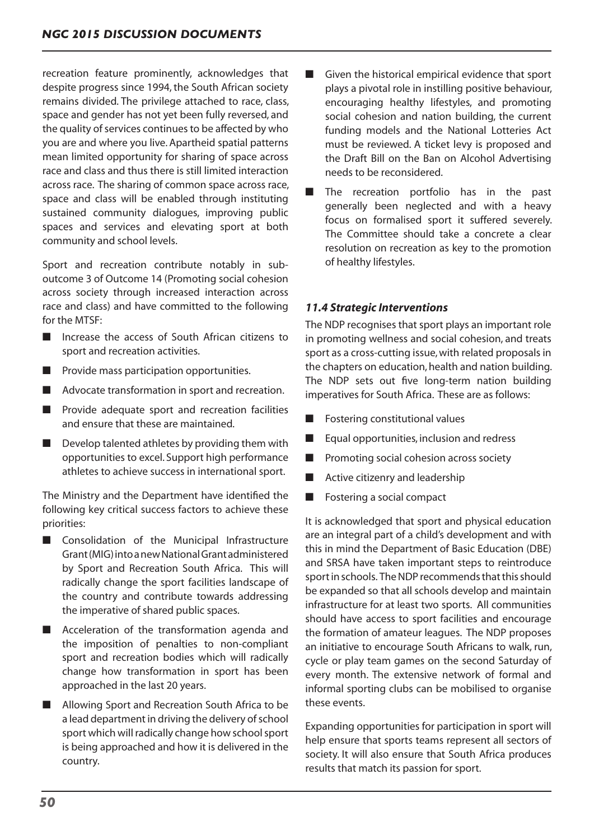recreation feature prominently, acknowledges that despite progress since 1994, the South African society remains divided. The privilege attached to race, class, space and gender has not yet been fully reversed, and the quality of services continues to be affected by who you are and where you live.Apartheid spatial patterns mean limited opportunity for sharing of space across race and class and thus there is still limited interaction across race. The sharing of common space across race, space and class will be enabled through instituting sustained community dialogues, improving public spaces and services and elevating sport at both community and school levels.

Sport and recreation contribute notably in suboutcome 3 of Outcome 14 (Promoting social cohesion across society through increased interaction across race and class) and have committed to the following for the MTSF:

- Increase the access of South African citizens to sport and recreation activities.
- Provide mass participation opportunities.
- Advocate transformation in sport and recreation.
- Provide adequate sport and recreation facilities and ensure that these are maintained.
- $\blacksquare$  Develop talented athletes by providing them with opportunities to excel. Support high performance athletes to achieve success in international sport.

The Ministry and the Department have identified the following key critical success factors to achieve these priorities:

- Consolidation of the Municipal Infrastructure Grant(MIG)intoanewNationalGrantadministered by Sport and Recreation South Africa. This will radically change the sport facilities landscape of the country and contribute towards addressing the imperative of shared public spaces.
- Acceleration of the transformation agenda and the imposition of penalties to non-compliant sport and recreation bodies which will radically change how transformation in sport has been approached in the last 20 years.
- Allowing Sport and Recreation South Africa to be a lead department in driving the delivery of school sport which will radically change how school sport is being approached and how it is delivered in the country.
- Given the historical empirical evidence that sport plays a pivotal role in instilling positive behaviour, encouraging healthy lifestyles, and promoting social cohesion and nation building, the current funding models and the National Lotteries Act must be reviewed. A ticket levy is proposed and the Draft Bill on the Ban on Alcohol Advertising needs to be reconsidered.
- The recreation portfolio has in the past generally been neglected and with a heavy focus on formalised sport it suffered severely. The Committee should take a concrete a clear resolution on recreation as key to the promotion of healthy lifestyles.

# *11.4 Strategic Interventions*

The NDP recognises that sport plays an important role in promoting wellness and social cohesion, and treats sport as a cross-cutting issue, with related proposals in the chapters on education, health and nation building. The NDP sets out five long-term nation building imperatives for South Africa. These are as follows:

- Fostering constitutional values
- Equal opportunities, inclusion and redress
- Promoting social cohesion across society
- Active citizenry and leadership
- Fostering a social compact

It is acknowledged that sport and physical education are an integral part of a child's development and with this in mind the Department of Basic Education (DBE) and SRSA have taken important steps to reintroduce sport in schools. The NDP recommends that this should be expanded so that all schools develop and maintain infrastructure for at least two sports. All communities should have access to sport facilities and encourage the formation of amateur leagues. The NDP proposes an initiative to encourage South Africans to walk, run, cycle or play team games on the second Saturday of every month. The extensive network of formal and informal sporting clubs can be mobilised to organise these events.

Expanding opportunities for participation in sport will help ensure that sports teams represent all sectors of society. It will also ensure that South Africa produces results that match its passion for sport.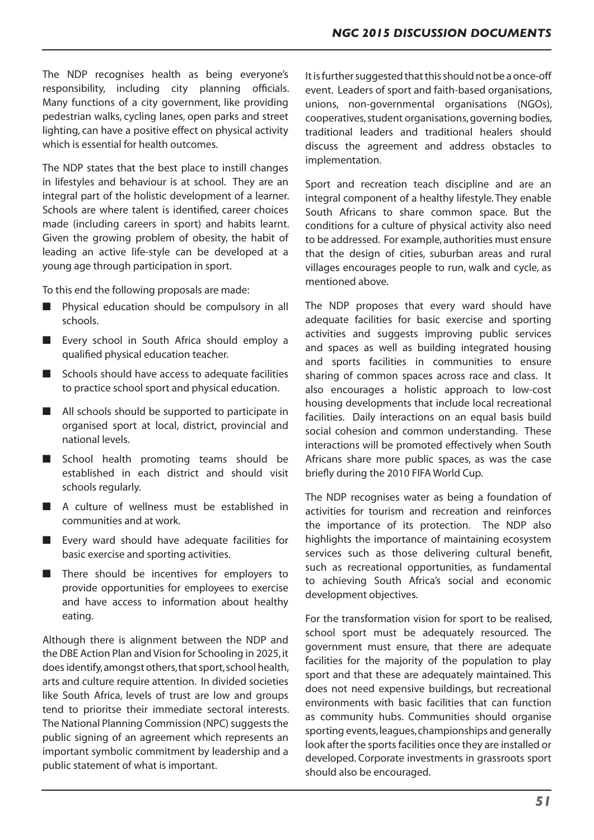The NDP recognises health as being everyone's responsibility, including city planning officials. Many functions of a city government, like providing pedestrian walks, cycling lanes, open parks and street lighting, can have a positive effect on physical activity which is essential for health outcomes.

The NDP states that the best place to instill changes in lifestyles and behaviour is at school. They are an integral part of the holistic development of a learner. Schools are where talent is identified, career choices made (including careers in sport) and habits learnt. Given the growing problem of obesity, the habit of leading an active life-style can be developed at a young age through participation in sport.

To this end the following proposals are made:

- Physical education should be compulsory in all schools.
- Every school in South Africa should employ a qualified physical education teacher.
- Schools should have access to adequate facilities to practice school sport and physical education.
- All schools should be supported to participate in organised sport at local, district, provincial and national levels.
- School health promoting teams should be established in each district and should visit schools regularly.
- A culture of wellness must be established in communities and at work.
- Every ward should have adequate facilities for basic exercise and sporting activities.
- There should be incentives for employers to provide opportunities for employees to exercise and have access to information about healthy eating.

Although there is alignment between the NDP and the DBE Action Plan and Vision for Schooling in 2025,it does identify, amongst others, that sport, school health, arts and culture require attention. In divided societies like South Africa, levels of trust are low and groups tend to prioritse their immediate sectoral interests. The National Planning Commission (NPC) suggests the public signing of an agreement which represents an important symbolic commitment by leadership and a public statement of what is important.

It is further suggested that this should not be a once-off event. Leaders of sport and faith-based organisations, unions, non-governmental organisations (NGOs), cooperatives, student organisations, governing bodies, traditional leaders and traditional healers should discuss the agreement and address obstacles to implementation.

Sport and recreation teach discipline and are an integral component of a healthy lifestyle. They enable South Africans to share common space. But the conditions for a culture of physical activity also need to be addressed. For example, authorities must ensure that the design of cities, suburban areas and rural villages encourages people to run, walk and cycle, as mentioned above.

The NDP proposes that every ward should have adequate facilities for basic exercise and sporting activities and suggests improving public services and spaces as well as building integrated housing and sports facilities in communities to ensure sharing of common spaces across race and class. It also encourages a holistic approach to low-cost housing developments that include local recreational facilities. Daily interactions on an equal basis build social cohesion and common understanding. These interactions will be promoted effectively when South Africans share more public spaces, as was the case briefly during the 2010 FIFA World Cup.

The NDP recognises water as being a foundation of activities for tourism and recreation and reinforces the importance of its protection. The NDP also highlights the importance of maintaining ecosystem services such as those delivering cultural benefit, such as recreational opportunities, as fundamental to achieving South Africa's social and economic development objectives.

For the transformation vision for sport to be realised, school sport must be adequately resourced. The government must ensure, that there are adequate facilities for the majority of the population to play sport and that these are adequately maintained. This does not need expensive buildings, but recreational environments with basic facilities that can function as community hubs. Communities should organise sporting events,leagues,championships and generally look after the sports facilities once they are installed or developed. Corporate investments in grassroots sport should also be encouraged.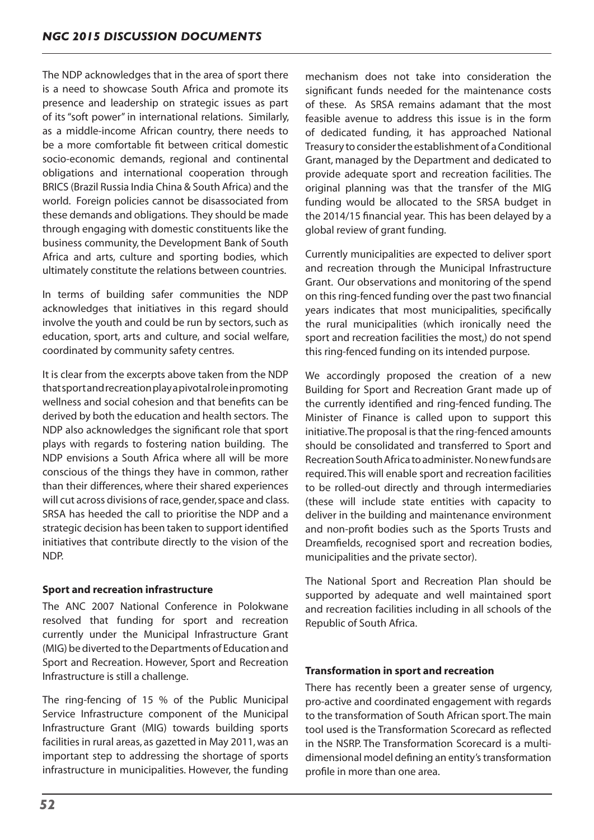The NDP acknowledges that in the area of sport there is a need to showcase South Africa and promote its presence and leadership on strategic issues as part of its"soft power" in international relations. Similarly, as a middle-income African country, there needs to be a more comfortable fit between critical domestic socio-economic demands, regional and continental obligations and international cooperation through BRICS (Brazil Russia India China & South Africa) and the world. Foreign policies cannot be disassociated from these demands and obligations. They should be made through engaging with domestic constituents like the business community, the Development Bank of South Africa and arts, culture and sporting bodies, which ultimately constitute the relations between countries.

In terms of building safer communities the NDP acknowledges that initiatives in this regard should involve the youth and could be run by sectors, such as education, sport, arts and culture, and social welfare, coordinated by community safety centres.

It is clear from the excerpts above taken from the NDP thatsportandrecreationplayapivotalroleinpromoting wellness and social cohesion and that benefits can be derived by both the education and health sectors. The NDP also acknowledges the significant role that sport plays with regards to fostering nation building. The NDP envisions a South Africa where all will be more conscious of the things they have in common, rather than their differences, where their shared experiences will cut across divisions of race, gender, space and class. SRSA has heeded the call to prioritise the NDP and a strategic decision has been taken to support identified initiatives that contribute directly to the vision of the NDP.

# **Sport and recreation infrastructure**

The ANC 2007 National Conference in Polokwane resolved that funding for sport and recreation currently under the Municipal Infrastructure Grant (MIG) be diverted to the Departments of Education and Sport and Recreation. However, Sport and Recreation Infrastructure is still a challenge.

The ring-fencing of 15 % of the Public Municipal Service Infrastructure component of the Municipal Infrastructure Grant (MIG) towards building sports facilities in rural areas, as gazetted in May 2011, was an important step to addressing the shortage of sports infrastructure in municipalities. However, the funding mechanism does not take into consideration the significant funds needed for the maintenance costs of these. As SRSA remains adamant that the most feasible avenue to address this issue is in the form of dedicated funding, it has approached National Treasury to consider the establishment of a Conditional Grant, managed by the Department and dedicated to provide adequate sport and recreation facilities. The original planning was that the transfer of the MIG funding would be allocated to the SRSA budget in the 2014/15 financial year. This has been delayed by a global review of grant funding.

Currently municipalities are expected to deliver sport and recreation through the Municipal Infrastructure Grant. Our observations and monitoring of the spend on thisring-fenced funding over the past two financial years indicates that most municipalities, specifically the rural municipalities (which ironically need the sport and recreation facilities the most,) do not spend this ring-fenced funding on its intended purpose.

We accordingly proposed the creation of a new Building for Sport and Recreation Grant made up of the currently identified and ring-fenced funding. The Minister of Finance is called upon to support this initiative. The proposal is that the ring-fenced amounts should be consolidated and transferred to Sport and Recreation South Africa to administer. No new funds are required.This will enable sport and recreation facilities to be rolled-out directly and through intermediaries (these will include state entities with capacity to deliver in the building and maintenance environment and non-profit bodies such as the Sports Trusts and Dreamfields, recognised sport and recreation bodies, municipalities and the private sector).

The National Sport and Recreation Plan should be supported by adequate and well maintained sport and recreation facilities including in all schools of the Republic of South Africa.

## **Transformation in sport and recreation**

There has recently been a greater sense of urgency, pro-active and coordinated engagement with regards to the transformation of South African sport.The main tool used is the Transformation Scorecard as reflected in the NSRP. The Transformation Scorecard is a multidimensional model defining an entity's transformation profile in more than one area.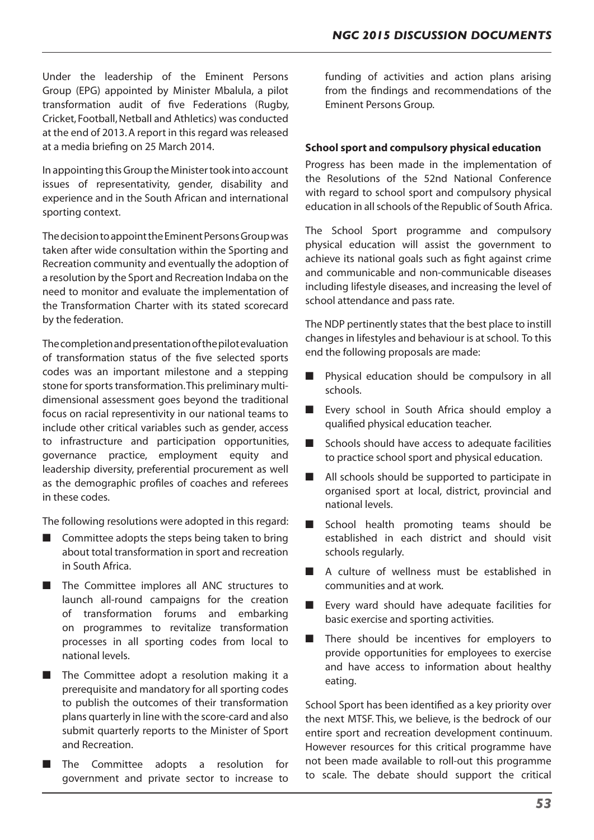Under the leadership of the Eminent Persons Group (EPG) appointed by Minister Mbalula, a pilot transformation audit of five Federations (Rugby, Cricket, Football,Netball and Athletics) was conducted at the end of 2013.A report in this regard was released at a media briefing on 25 March 2014.

In appointing thisGroup the Ministertook into account issues of representativity, gender, disability and experience and in the South African and international sporting context.

The decision to appoint the Eminent Persons Group was taken after wide consultation within the Sporting and Recreation community and eventually the adoption of a resolution by the Sport and Recreation Indaba on the need to monitor and evaluate the implementation of the Transformation Charter with its stated scorecard by the federation.

Thecompletionandpresentationofthepilotevaluation of transformation status of the five selected sports codes was an important milestone and a stepping stone for sports transformation. This preliminary multidimensional assessment goes beyond the traditional focus on racial representivity in our national teams to include other critical variables such as gender, access to infrastructure and participation opportunities, governance practice, employment equity and leadership diversity, preferential procurement as well as the demographic profiles of coaches and referees in these codes.

The following resolutions were adopted in this regard:

- Committee adopts the steps being taken to bring about total transformation in sport and recreation in South Africa.
- The Committee implores all ANC structures to launch all-round campaigns for the creation of transformation forums and embarking on programmes to revitalize transformation processes in all sporting codes from local to national levels.
- The Committee adopt a resolution making it a prerequisite and mandatory for all sporting codes to publish the outcomes of their transformation plans quarterly in line with the score-card and also submit quarterly reports to the Minister of Sport and Recreation.
- The Committee adopts a resolution for government and private sector to increase to

funding of activities and action plans arising from the findings and recommendations of the Eminent Persons Group.

# **School sport and compulsory physical education**

Progress has been made in the implementation of the Resolutions of the 52nd National Conference with regard to school sport and compulsory physical education in allschools of the Republic of South Africa.

The School Sport programme and compulsory physical education will assist the government to achieve its national goals such as fight against crime and communicable and non-communicable diseases including lifestyle diseases, and increasing the level of school attendance and pass rate.

The NDP pertinently states that the best place to instill changes in lifestyles and behaviour is at school. To this end the following proposals are made:

- Physical education should be compulsory in all schools.
- Every school in South Africa should employ a qualified physical education teacher.
- Schools should have access to adequate facilities to practice school sport and physical education.
- All schools should be supported to participate in organised sport at local, district, provincial and national levels.
- School health promoting teams should be established in each district and should visit schools regularly.
- A culture of wellness must be established in communities and at work.
- Every ward should have adequate facilities for basic exercise and sporting activities.
- There should be incentives for employers to provide opportunities for employees to exercise and have access to information about healthy eating.

School Sport has been identified as a key priority over the next MTSF. This, we believe, is the bedrock of our entire sport and recreation development continuum. However resources for this critical programme have not been made available to roll-out this programme to scale. The debate should support the critical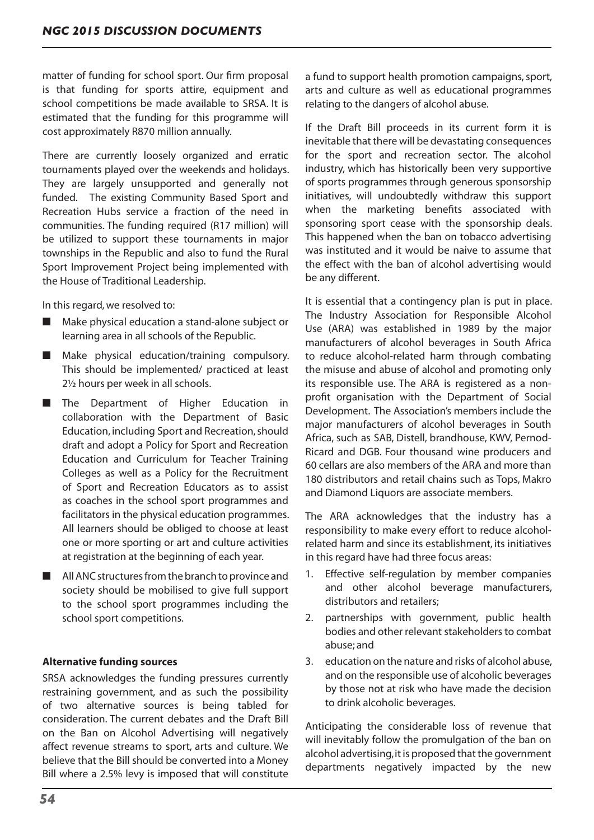matter of funding for school sport. Our firm proposal is that funding for sports attire, equipment and school competitions be made available to SRSA. It is estimated that the funding for this programme will cost approximately R870 million annually.

There are currently loosely organized and erratic tournaments played over the weekends and holidays. They are largely unsupported and generally not funded. The existing Community Based Sport and Recreation Hubs service a fraction of the need in communities. The funding required (R17 million) will be utilized to support these tournaments in major townships in the Republic and also to fund the Rural Sport Improvement Project being implemented with the House of Traditional Leadership.

In this regard, we resolved to:

- Make physical education a stand-alone subject or learning area in all schools of the Republic.
- Make physical education/training compulsory. This should be implemented/ practiced at least 2½ hours per week in all schools.
- The Department of Higher Education in collaboration with the Department of Basic Education, including Sport and Recreation,should draft and adopt a Policy for Sport and Recreation Education and Curriculum for Teacher Training Colleges as well as a Policy for the Recruitment of Sport and Recreation Educators as to assist as coaches in the school sport programmes and facilitators in the physical education programmes. All learners should be obliged to choose at least one or more sporting or art and culture activities at registration at the beginning of each year.
- All ANC structures from the branch to province and society should be mobilised to give full support to the school sport programmes including the school sport competitions.

## **Alternative funding sources**

SRSA acknowledges the funding pressures currently restraining government, and as such the possibility of two alternative sources is being tabled for consideration. The current debates and the Draft Bill on the Ban on Alcohol Advertising will negatively affect revenue streams to sport, arts and culture. We believe that the Bill should be converted into a Money Bill where a 2.5% levy is imposed that will constitute a fund to support health promotion campaigns, sport, arts and culture as well as educational programmes relating to the dangers of alcohol abuse.

If the Draft Bill proceeds in its current form it is inevitable that there will be devastating consequences for the sport and recreation sector. The alcohol industry, which has historically been very supportive of sports programmes through generous sponsorship initiatives, will undoubtedly withdraw this support when the marketing benefits associated with sponsoring sport cease with the sponsorship deals. This happened when the ban on tobacco advertising was instituted and it would be naive to assume that the effect with the ban of alcohol advertising would be any different.

It is essential that a contingency plan is put in place. The Industry Association for Responsible Alcohol Use (ARA) was established in 1989 by the major manufacturers of alcohol beverages in South Africa to reduce alcohol-related harm through combating the misuse and abuse of alcohol and promoting only its responsible use. The ARA is registered as a nonprofit organisation with the Department of Social Development. The Association's members include the major manufacturers of alcohol beverages in South Africa, such as SAB, Distell, brandhouse, KWV, Pernod-Ricard and DGB. Four thousand wine producers and 60 cellars are also members of the ARA and more than 180 distributors and retail chains such as Tops, Makro and Diamond Liquors are associate members.

The ARA acknowledges that the industry has a responsibility to make every effort to reduce alcoholrelated harm and since its establishment, its initiatives in this regard have had three focus areas:

- 1. Effective self-regulation by member companies and other alcohol beverage manufacturers, distributors and retailers;
- 2. partnerships with government, public health bodies and other relevant stakeholders to combat abuse; and
- 3. education on the nature and risks of alcohol abuse. and on the responsible use of alcoholic beverages by those not at risk who have made the decision to drink alcoholic beverages.

Anticipating the considerable loss of revenue that will inevitably follow the promulgation of the ban on alcohol advertising, it is proposed that the government departments negatively impacted by the new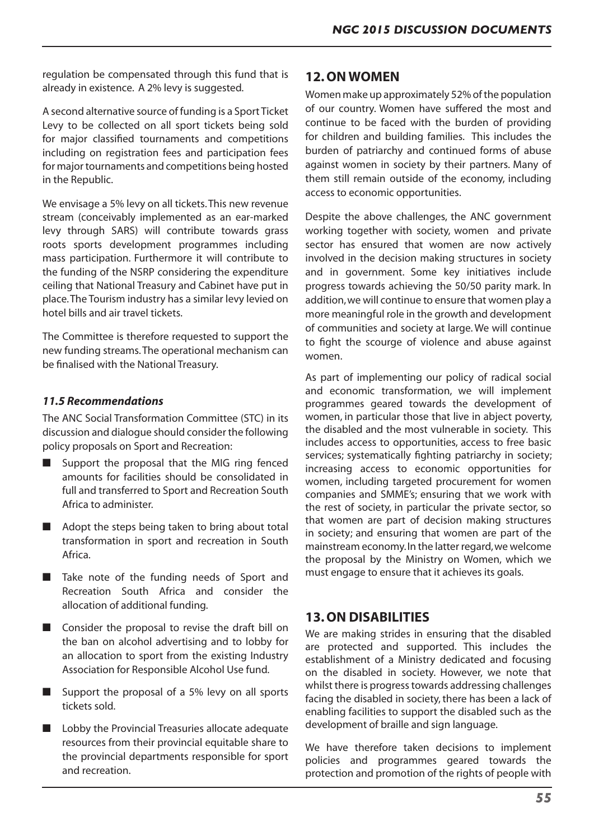regulation be compensated through this fund that is already in existence. A 2% levy is suggested.

A second alternative source of funding is a Sport Ticket Levy to be collected on all sport tickets being sold for major classified tournaments and competitions including on registration fees and participation fees for major tournaments and competitions being hosted in the Republic.

We envisage a 5% levy on all tickets.This new revenue stream (conceivably implemented as an ear-marked levy through SARS) will contribute towards grass roots sports development programmes including mass participation. Furthermore it will contribute to the funding of the NSRP considering the expenditure ceiling that National Treasury and Cabinet have put in place.The Tourism industry has a similar levy levied on hotel bills and air travel tickets.

The Committee is therefore requested to support the new funding streams.The operational mechanism can be finalised with the National Treasury.

# *11.5 Recommendations*

The ANC Social Transformation Committee (STC) in its discussion and dialogue should consider the following policy proposals on Sport and Recreation:

- Support the proposal that the MIG ring fenced amounts for facilities should be consolidated in full and transferred to Sport and Recreation South Africa to administer.
- Adopt the steps being taken to bring about total transformation in sport and recreation in South Africa.
- Take note of the funding needs of Sport and Recreation South Africa and consider the allocation of additional funding.
- Consider the proposal to revise the draft bill on the ban on alcohol advertising and to lobby for an allocation to sport from the existing Industry Association for Responsible Alcohol Use fund.
- Support the proposal of a 5% levy on all sports tickets sold.
- Lobby the Provincial Treasuries allocate adequate resources from their provincial equitable share to the provincial departments responsible for sport and recreation.

# **12. ON WOMEN**

Women make up approximately 52% of the population of our country. Women have suffered the most and continue to be faced with the burden of providing for children and building families. This includes the burden of patriarchy and continued forms of abuse against women in society by their partners. Many of them still remain outside of the economy, including access to economic opportunities.

Despite the above challenges, the ANC government working together with society, women and private sector has ensured that women are now actively involved in the decision making structures in society and in government. Some key initiatives include progress towards achieving the 50/50 parity mark. In addition,we will continue to ensure that women play a more meaningful role in the growth and development of communities and society at large. We will continue to fight the scourge of violence and abuse against women.

As part of implementing our policy of radical social and economic transformation, we will implement programmes geared towards the development of women, in particular those that live in abject poverty, the disabled and the most vulnerable in society. This includes access to opportunities, access to free basic services; systematically fighting patriarchy in society; increasing access to economic opportunities for women, including targeted procurement for women companies and SMME's; ensuring that we work with the rest of society, in particular the private sector, so that women are part of decision making structures in society; and ensuring that women are part of the mainstream economy.In the latter regard,we welcome the proposal by the Ministry on Women, which we must engage to ensure that it achieves its goals.

# **13. ON DISABILITIES**

We are making strides in ensuring that the disabled are protected and supported. This includes the establishment of a Ministry dedicated and focusing on the disabled in society. However, we note that whilst there is progress towards addressing challenges facing the disabled in society, there has been a lack of enabling facilities to support the disabled such as the development of braille and sign language.

We have therefore taken decisions to implement policies and programmes geared towards the protection and promotion of the rights of people with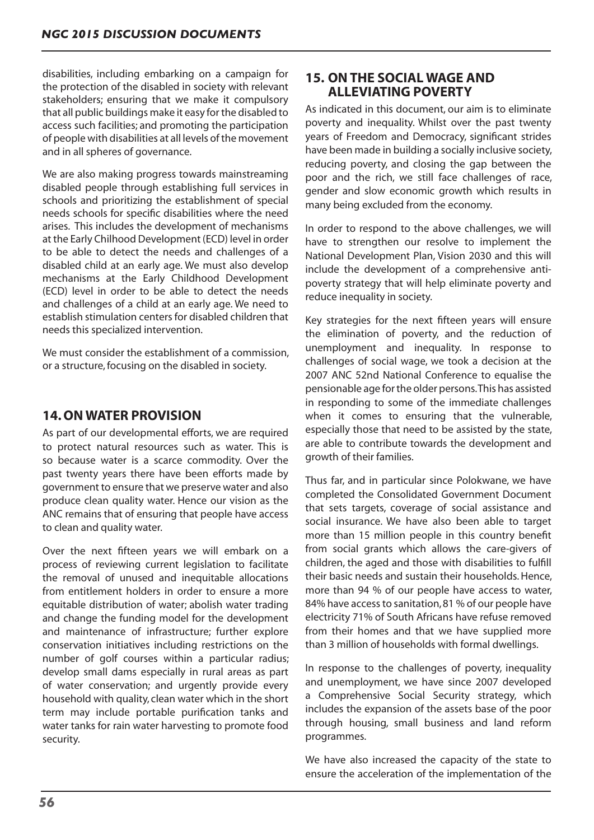disabilities, including embarking on a campaign for the protection of the disabled in society with relevant stakeholders; ensuring that we make it compulsory that all public buildings make it easy forthe disabled to access such facilities; and promoting the participation of people with disabilities at all levels of the movement and in all spheres of governance.

We are also making progress towards mainstreaming disabled people through establishing full services in schools and prioritizing the establishment of special needs schools for specific disabilities where the need arises. This includes the development of mechanisms at the Early Chilhood Development (ECD) level in order to be able to detect the needs and challenges of a disabled child at an early age. We must also develop mechanisms at the Early Childhood Development (ECD) level in order to be able to detect the needs and challenges of a child at an early age. We need to establish stimulation centersfor disabled children that needs this specialized intervention.

We must consider the establishment of a commission, or a structure,focusing on the disabled in society.

# **14. ON WATER PROVISION**

As part of our developmental efforts, we are required to protect natural resources such as water. This is so because water is a scarce commodity. Over the past twenty years there have been efforts made by government to ensure that we preserve water and also produce clean quality water. Hence our vision as the ANC remains that of ensuring that people have access to clean and quality water.

Over the next fifteen years we will embark on a process of reviewing current legislation to facilitate the removal of unused and inequitable allocations from entitlement holders in order to ensure a more equitable distribution of water; abolish water trading and change the funding model for the development and maintenance of infrastructure; further explore conservation initiatives including restrictions on the number of golf courses within a particular radius; develop small dams especially in rural areas as part of water conservation; and urgently provide every household with quality, clean water which in the short term may include portable purification tanks and water tanks for rain water harvesting to promote food security.

# **15. ON THE SOCIAL WAGE AND ALLEVIATING POVERTY**

As indicated in this document, our aim is to eliminate poverty and inequality. Whilst over the past twenty years of Freedom and Democracy, significant strides have been made in building a socially inclusive society, reducing poverty, and closing the gap between the poor and the rich, we still face challenges of race, gender and slow economic growth which results in many being excluded from the economy.

In order to respond to the above challenges, we will have to strengthen our resolve to implement the National Development Plan, Vision 2030 and this will include the development of a comprehensive antipoverty strategy that will help eliminate poverty and reduce inequality in society.

Key strategies for the next fifteen years will ensure the elimination of poverty, and the reduction of unemployment and inequality. In response to challenges of social wage, we took a decision at the 2007 ANC 52nd National Conference to equalise the pensionable age forthe older persons.This has assisted in responding to some of the immediate challenges when it comes to ensuring that the vulnerable, especially those that need to be assisted by the state, are able to contribute towards the development and growth of their families.

Thus far, and in particular since Polokwane, we have completed the Consolidated Government Document that sets targets, coverage of social assistance and social insurance. We have also been able to target more than 15 million people in this country benefit from social grants which allows the care-givers of children, the aged and those with disabilities to fulfill their basic needs and sustain their households.Hence, more than 94 % of our people have access to water, 84% have accessto sanitation,81 % of our people have electricity 71% of South Africans have refuse removed from their homes and that we have supplied more than 3 million of households with formal dwellings.

In response to the challenges of poverty, inequality and unemployment, we have since 2007 developed a Comprehensive Social Security strategy, which includes the expansion of the assets base of the poor through housing, small business and land reform programmes.

We have also increased the capacity of the state to ensure the acceleration of the implementation of the